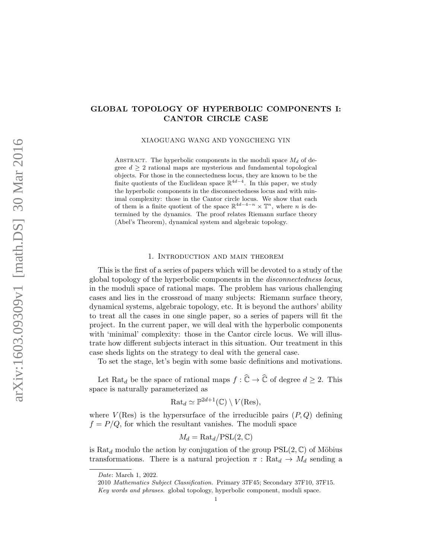# GLOBAL TOPOLOGY OF HYPERBOLIC COMPONENTS I: CANTOR CIRCLE CASE

XIAOGUANG WANG AND YONGCHENG YIN

ABSTRACT. The hyperbolic components in the moduli space  $M_d$  of degree  $d > 2$  rational maps are mysterious and fundamental topological objects. For those in the connectedness locus, they are known to be the finite quotients of the Euclidean space  $\mathbb{R}^{4d-4}$ . In this paper, we study the hyperbolic components in the disconnectedness locus and with minimal complexity: those in the Cantor circle locus. We show that each of them is a finite quotient of the space  $\mathbb{R}^{4d-4-n} \times \mathbb{T}^n$ , where *n* is determined by the dynamics. The proof relates Riemann surface theory (Abel's Theorem), dynamical system and algebraic topology.

#### 1. Introduction and main theorem

This is the first of a series of papers which will be devoted to a study of the global topology of the hyperbolic components in the disconnectedness locus, in the moduli space of rational maps. The problem has various challenging cases and lies in the crossroad of many subjects: Riemann surface theory, dynamical systems, algebraic topology, etc. It is beyond the authors' ability to treat all the cases in one single paper, so a series of papers will fit the project. In the current paper, we will deal with the hyperbolic components with 'minimal' complexity: those in the Cantor circle locus. We will illustrate how different subjects interact in this situation. Our treatment in this case sheds lights on the strategy to deal with the general case.

To set the stage, let's begin with some basic definitions and motivations.

Let Rat<sub>d</sub> be the space of rational maps  $f : \widehat{\mathbb{C}} \to \widehat{\mathbb{C}}$  of degree  $d \geq 2$ . This space is naturally parameterized as

$$
\mathrm{Rat}_d \simeq \mathbb{P}^{2d+1}(\mathbb{C}) \setminus V(\mathrm{Res}),
$$

where  $V(\text{Res})$  is the hypersurface of the irreducible pairs  $(P, Q)$  defining  $f = P/Q$ , for which the resultant vanishes. The moduli space

$$
M_d = \text{Rat}_d / \text{PSL}(2, \mathbb{C})
$$

is Rat<sub>d</sub> modulo the action by conjugation of the group  $PSL(2, \mathbb{C})$  of Möbius transformations. There is a natural projection  $\pi$ : Rat $_d \rightarrow M_d$  sending a

Date: March 1, 2022.

<sup>2010</sup> Mathematics Subject Classification. Primary 37F45; Secondary 37F10, 37F15.

Key words and phrases. global topology, hyperbolic component, moduli space.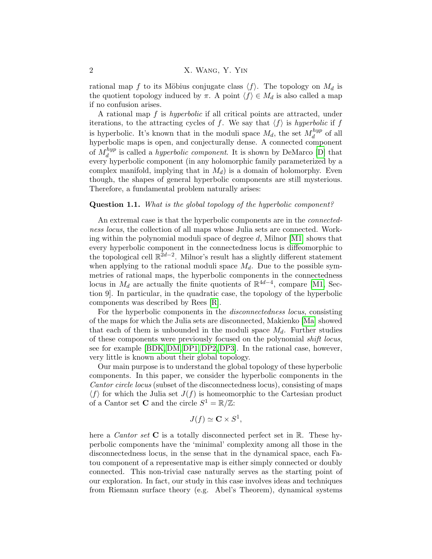rational map f to its Möbius conjugate class  $\langle f \rangle$ . The topology on  $M_d$  is the quotient topology induced by  $\pi$ . A point  $\langle f \rangle \in M_d$  is also called a map if no confusion arises.

A rational map f is hyperbolic if all critical points are attracted, under iterations, to the attracting cycles of f. We say that  $\langle f \rangle$  is hyperbolic if f is hyperbolic. It's known that in the moduli space  $M_d$ , the set  $M_d^{hyp}$  $\frac{hyp}{d}$  of all hyperbolic maps is open, and conjecturally dense. A connected component of  $M_d^{hyp}$  $d_d^{hyp}$  is called a *hyperbolic component*. It is shown by DeMarco [\[D\]](#page-33-0) that every hyperbolic component (in any holomorphic family parameterized by a complex manifold, implying that in  $M_d$ ) is a domain of holomorphy. Even though, the shapes of general hyperbolic components are still mysterious. Therefore, a fundamental problem naturally arises:

### Question 1.1. What is the global topology of the hyperbolic component?

An extremal case is that the hyperbolic components are in the connectedness locus, the collection of all maps whose Julia sets are connected. Working within the polynomial moduli space of degree  $d$ , Milnor [\[M1\]](#page-34-0) shows that every hyperbolic component in the connectedness locus is diffeomorphic to the topological cell  $\mathbb{R}^{2d-2}$ . Milnor's result has a slightly different statement when applying to the rational moduli space  $M_d$ . Due to the possible symmetries of rational maps, the hyperbolic components in the connectedness locus in  $M_d$  are actually the finite quotients of  $\mathbb{R}^{4d-4}$ , compare [\[M1,](#page-34-0) Section 9]. In particular, in the quadratic case, the topology of the hyperbolic components was described by Rees [\[R\]](#page-34-1).

For the hyperbolic components in the *disconnectedness locus*, consisting of the maps for which the Julia sets are disconnected, Makienko [\[Ma\]](#page-33-1) showed that each of them is unbounded in the moduli space  $M_d$ . Further studies of these components were previously focused on the polynomial shift locus, see for example [\[BDK,](#page-33-2) [DM,](#page-33-3) [DP1,](#page-33-4) [DP2,](#page-33-5) [DP3\]](#page-33-6). In the rational case, however, very little is known about their global topology.

Our main purpose is to understand the global topology of these hyperbolic components. In this paper, we consider the hyperbolic components in the Cantor circle locus (subset of the disconnectedness locus), consisting of maps  $\langle f \rangle$  for which the Julia set  $J(f)$  is homeomorphic to the Cartesian product of a Cantor set **C** and the circle  $S^1 = \mathbb{R}/\mathbb{Z}$ :

$$
J(f) \simeq \mathbf{C} \times S^1,
$$

here a *Cantor set* **C** is a totally disconnected perfect set in  $\mathbb{R}$ . These hyperbolic components have the 'minimal' complexity among all those in the disconnectedness locus, in the sense that in the dynamical space, each Fatou component of a representative map is either simply connected or doubly connected. This non-trivial case naturally serves as the starting point of our exploration. In fact, our study in this case involves ideas and techniques from Riemann surface theory (e.g. Abel's Theorem), dynamical systems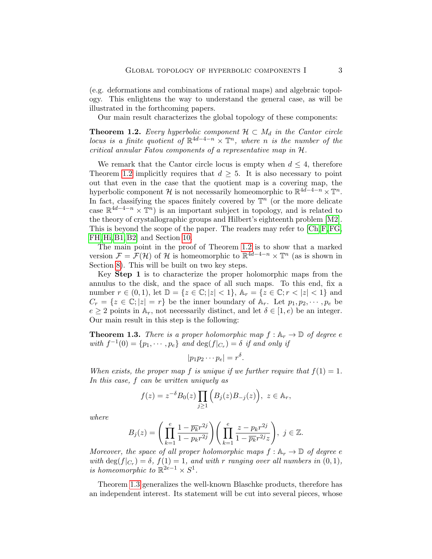(e.g. deformations and combinations of rational maps) and algebraic topology. This enlightens the way to understand the general case, as will be illustrated in the forthcoming papers.

Our main result characterizes the global topology of these components:

<span id="page-2-0"></span>**Theorem 1.2.** Every hyperbolic component  $\mathcal{H} \subset M_d$  in the Cantor circle locus is a finite quotient of  $\mathbb{R}^{4d-4-n} \times \mathbb{T}^n$ , where n is the number of the critical annular Fatou components of a representative map in H.

We remark that the Cantor circle locus is empty when  $d \leq 4$ , therefore Theorem [1.2](#page-2-0) implicitly requires that  $d \geq 5$ . It is also necessary to point out that even in the case that the quotient map is a covering map, the hyperbolic component H is not necessarily homeomorphic to  $\mathbb{R}^{4\bar{d}-4-n} \times \mathbb{T}^n$ . In fact, classifying the spaces finitely covered by  $\mathbb{T}^n$  (or the more delicate case  $\mathbb{R}^{4d-4-n} \times \mathbb{T}^n$  is an important subject in topology, and is related to the theory of crystallographic groups and Hilbert's eighteenth problem [\[M2\]](#page-34-2). This is beyond the scope of the paper. The readers may refer to [\[Ch,](#page-33-7)[F,](#page-33-8)[FG,](#page-33-9) [FH,](#page-33-10) [Hi,](#page-33-11) [B1,](#page-33-12) [B2\]](#page-33-13) and Section [10.](#page-28-0)

The main point in the proof of Theorem [1.2](#page-2-0) is to show that a marked version  $\mathcal{F} = \mathcal{F}(\mathcal{H})$  of  $\mathcal{H}$  is homeomorphic to  $\mathbb{R}^{4d-4-n} \times \mathbb{T}^n$  (as is shown in Section [8\)](#page-25-0). This will be built on two key steps.

Key Step 1 is to characterize the proper holomorphic maps from the annulus to the disk, and the space of all such maps. To this end, fix a number  $r \in (0,1)$ , let  $\mathbb{D} = \{z \in \mathbb{C}; |z| < 1\}$ ,  $\mathbb{A}_r = \{z \in \mathbb{C}; r < |z| < 1\}$  and  $C_r = \{z \in \mathbb{C}; |z| = r\}$  be the inner boundary of  $\mathbb{A}_r$ . Let  $p_1, p_2, \dots, p_e$  be  $e \geq 2$  points in  $\mathbb{A}_r$ , not necessarily distinct, and let  $\delta \in [1, e)$  be an integer. Our main result in this step is the following:

<span id="page-2-1"></span>**Theorem 1.3.** There is a proper holomorphic map  $f : A_r \to \mathbb{D}$  of degree e with  $f^{-1}(0) = \{p_1, \dots, p_e\}$  and  $\deg(f|_{C_r}) = \delta$  if and only if

$$
|p_1p_2\cdots p_e|=r^{\delta}.
$$

When exists, the proper map f is unique if we further require that  $f(1) = 1$ . In this case, f can be written uniquely as

$$
f(z) = z^{-\delta} B_0(z) \prod_{j \ge 1} (B_j(z) B_{-j}(z)), \ z \in \mathbb{A}_r,
$$

where

$$
B_j(z) = \left(\prod_{k=1}^e \frac{1 - \overline{p_k}r^{2j}}{1 - p_kr^{2j}}\right) \left(\prod_{k=1}^e \frac{z - p_kr^{2j}}{1 - \overline{p_k}r^{2j}z}\right), \ j \in \mathbb{Z}.
$$

Moreover, the space of all proper holomorphic maps  $f: \mathbb{A}_r \to \mathbb{D}$  of degree e with  $\deg(f|_{C_r}) = \delta$ ,  $f(1) = 1$ , and with r ranging over all numbers in  $(0, 1)$ , is homeomorphic to  $\mathbb{R}^{2e-1} \times S^1$ .

Theorem [1.3](#page-2-1) generalizes the well-known Blaschke products, therefore has an independent interest. Its statement will be cut into several pieces, whose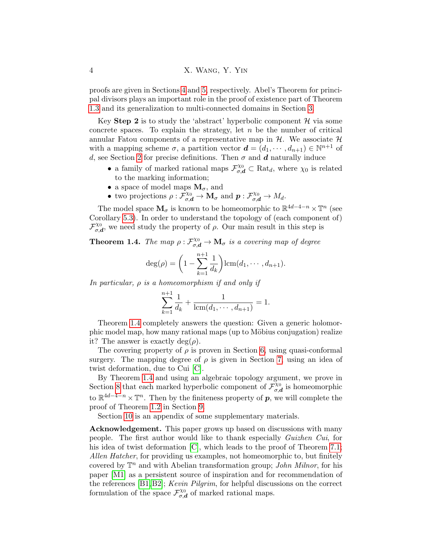proofs are given in Sections [4](#page-11-0) and [5,](#page-14-0) respectively. Abel's Theorem for principal divisors plays an important role in the proof of existence part of Theorem [1.3](#page-2-1) and its generalization to multi-connected domains in Section [3.](#page-8-0)

Key Step 2 is to study the 'abstract' hyperbolic component  $\mathcal H$  via some concrete spaces. To explain the strategy, let  $n$  be the number of critical annular Fatou components of a representative map in  $H$ . We associate  $H$ with a mapping scheme  $\sigma$ , a partition vector  $\mathbf{d} = (d_1, \dots, d_{n+1}) \in \mathbb{N}^{n+1}$  of d, see Section [2](#page-4-0) for precise definitions. Then  $\sigma$  and  $\boldsymbol{d}$  naturally induce

- a family of marked rational maps  $\mathcal{F}_{\sigma,d}^{\chi_0} \subset \text{Rat}_d$ , where  $\chi_0$  is related to the marking information;
- a space of model maps  $M_{\sigma}$ , and
- two projections  $\rho: \tilde{\mathcal{F}}_{\sigma,\mathbf{d}}^{\chi_0} \to \mathbf{M}_{\sigma}$  and  $\mathbf{p}: \mathcal{F}_{\sigma,\mathbf{d}}^{\chi_0} \to M_d$ .

The model space  $\mathbf{M}_{\sigma}$  is known to be homeomorphic to  $\mathbb{R}^{4d-4-n} \times \mathbb{T}^n$  (see Corollary [5.3\)](#page-17-0). In order to understand the topology of (each component of)  $\mathcal{F}_{\sigma}^{\chi_0}$  $\chi_0^{\chi_0}$ , we need study the property of  $\rho$ . Our main result in this step is

<span id="page-3-0"></span>**Theorem 1.4.** The map  $\rho : \mathcal{F}_{\sigma,d}^{\chi_0} \to \mathbf{M}_{\sigma}$  is a covering map of degree

$$
deg(\rho) = \left(1 - \sum_{k=1}^{n+1} \frac{1}{d_k}\right) lcm(d_1, \cdots, d_{n+1}).
$$

In particular,  $\rho$  is a homeomorphism if and only if

$$
\sum_{k=1}^{n+1} \frac{1}{d_k} + \frac{1}{\text{lcm}(d_1, \cdots, d_{n+1})} = 1.
$$

Theorem [1.4](#page-3-0) completely answers the question: Given a generic holomorphic model map, how many rational maps (up to Möbius conjugation) realize it? The answer is exactly deg( $\rho$ ).

The covering property of  $\rho$  is proven in Section [6,](#page-17-1) using quasi-conformal surgery. The mapping degree of  $\rho$  is given in Section [7,](#page-20-0) using an idea of twist deformation, due to Cui [\[C\]](#page-33-14).

By Theorem [1.4](#page-3-0) and using an algebraic topology argument, we prove in Section [8](#page-25-0) that each marked hyperbolic component of  $\mathcal{F}_{\sigma}^{\chi_0}$  $\alpha_{\sigma,d}^{\chi_0}$  is homeomorphic to  $\mathbb{R}^{4d-4-n} \times \mathbb{T}^n$ . Then by the finiteness property of  $p$ , we will complete the proof of Theorem [1.2](#page-2-0) in Section [9.](#page-26-0)

Section [10](#page-28-0) is an appendix of some supplementary materials.

Acknowledgement. This paper grows up based on discussions with many people. The first author would like to thank especially Guizhen Cui, for his idea of twist deformation [\[C\]](#page-33-14), which leads to the proof of Theorem [7.1;](#page-21-0) Allen Hatcher, for providing us examples, not homeomorphic to, but finitely covered by  $\mathbb{T}^n$  and with Abelian transformation group; *John Milnor*, for his paper [\[M1\]](#page-34-0) as a persistent source of inspiration and for recommendation of the references [\[B1,](#page-33-12)[B2\]](#page-33-13); Kevin Pilgrim, for helpful discussions on the correct formulation of the space  $\mathcal{F}_{\sigma,\epsilon}^{\chi_0}$  $\sigma_{\sigma,d}^{\chi_0}$  of marked rational maps.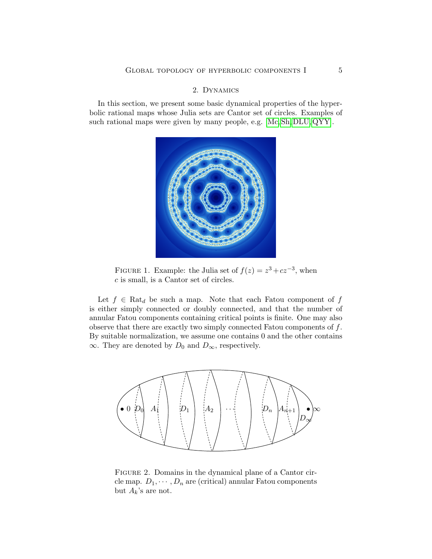## 2. Dynamics

<span id="page-4-0"></span>In this section, we present some basic dynamical properties of the hyperbolic rational maps whose Julia sets are Cantor set of circles. Examples of such rational maps were given by many people, e.g. [\[Mc,](#page-34-3) [Sh,](#page-34-4) [DLU,](#page-33-15) [QYY\]](#page-34-5).



FIGURE 1. Example: the Julia set of  $f(z) = z^3 + cz^{-3}$ , when c is small, is a Cantor set of circles.

Let  $f \in \text{Rat}_d$  be such a map. Note that each Fatou component of f is either simply connected or doubly connected, and that the number of annular Fatou components containing critical points is finite. One may also observe that there are exactly two simply connected Fatou components of  $f$ . By suitable normalization, we assume one contains  $0$  and the other contains  $\infty$ . They are denoted by  $D_0$  and  $D_{\infty}$ , respectively.



FIGURE 2. Domains in the dynamical plane of a Cantor circle map.  $D_1, \dots, D_n$  are (critical) annular Fatou components but  $A_k$ 's are not.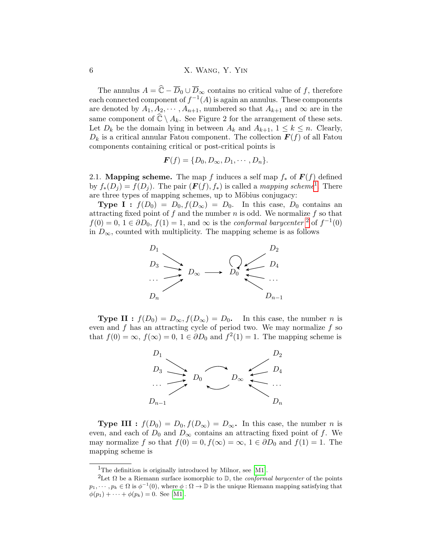The annulus  $A = \hat{C} - \overline{D}_0 \cup \overline{D}_{\infty}$  contains no critical value of f, therefore each connected component of  $f^{-1}(A)$  is again an annulus. These components are denoted by  $A_1, A_2, \cdots, A_{n+1}$ , numbered so that  $A_{k+1}$  and  $\infty$  are in the same component of  $\hat{\mathbb{C}} \setminus A_k$ . See Figure 2 for the arrangement of these sets. Let  $D_k$  be the domain lying in between  $A_k$  and  $A_{k+1}$ ,  $1 \leq k \leq n$ . Clearly,  $D_k$  is a critical annular Fatou component. The collection  $\boldsymbol{F}(f)$  of all Fatou components containing critical or post-critical points is

$$
\boldsymbol{F}(f) = \{D_0, D_{\infty}, D_1, \cdots, D_n\}.
$$

2.1. **Mapping scheme.** The map f induces a self map  $f_*$  of  $F(f)$  defined by  $f_*(D_j) = f(D_j)$ . The pair  $(\mathbf{F}(f), f_*)$  is called a mapping scheme<sup>[1](#page-5-0)</sup>. There are three types of mapping schemes, up to Möbius conjugacy:

**Type I :**  $f(D_0) = D_0, f(D_\infty) = D_0$ . In this case,  $D_0$  contains an attracting fixed point of f and the number  $n$  is odd. We normalize f so that  $f(0) = 0, 1 \in \partial D_0, f(1) = 1$ , and  $\infty$  is the *conformal barycenter*<sup>[2](#page-5-1)</sup> of  $f^{-1}(0)$ in  $D_{\infty}$ , counted with multiplicity. The mapping scheme is as follows



**Type II**:  $f(D_0) = D_\infty$ ,  $f(D_\infty) = D_0$ . In this case, the number *n* is even and  $f$  has an attracting cycle of period two. We may normalize  $f$  so that  $f(0) = \infty$ ,  $f(\infty) = 0$ ,  $1 \in \partial D_0$  and  $f^2(1) = 1$ . The mapping scheme is



**Type III** :  $f(D_0) = D_0, f(D_\infty) = D_\infty$ . In this case, the number *n* is even, and each of  $D_0$  and  $D_{\infty}$  contains an attracting fixed point of f. We may normalize f so that  $f(0) = 0, f(\infty) = \infty, 1 \in \partial D_0$  and  $f(1) = 1$ . The mapping scheme is

<span id="page-5-1"></span><span id="page-5-0"></span><sup>&</sup>lt;sup>1</sup>The definition is originally introduced by Milnor, see [\[M1\]](#page-34-0).

<sup>&</sup>lt;sup>2</sup>Let Ω be a Riemann surface isomorphic to  $\mathbb{D}$ , the *conformal barycenter* of the points  $p_1, \dots, p_k \in \Omega$  is  $\phi^{-1}(0)$ , where  $\phi : \Omega \to \mathbb{D}$  is the unique Riemann mapping satisfying that  $\phi(p_1) + \cdots + \phi(p_k) = 0.$  See [\[M1\]](#page-34-0).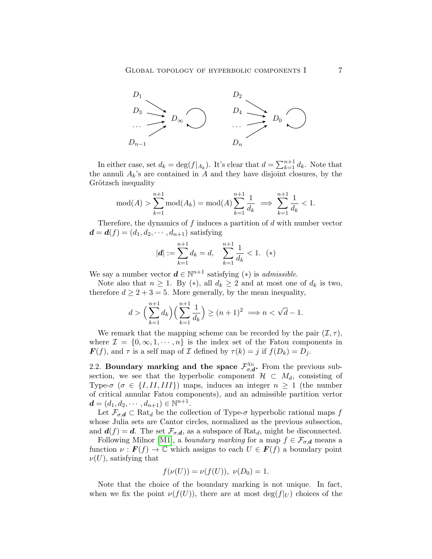

In either case, set  $d_k = \deg(f|_{A_k})$ . It's clear that  $d = \sum_{k=1}^{n+1} d_k$ . Note that the annuli  $A_k$ 's are contained in A and they have disjoint closures, by the Grötzsch inequality

$$
mod(A) > \sum_{k=1}^{n+1} mod(A_k) = mod(A) \sum_{k=1}^{n+1} \frac{1}{d_k} \implies \sum_{k=1}^{n+1} \frac{1}{d_k} < 1.
$$

Therefore, the dynamics of  $f$  induces a partition of  $d$  with number vector  $\mathbf{d} = \mathbf{d}(f) = (d_1, d_2, \cdots, d_{n+1})$  satisfying

$$
|\mathbf{d}| := \sum_{k=1}^{n+1} d_k = d, \quad \sum_{k=1}^{n+1} \frac{1}{d_k} < 1. \tag{(*)}
$$

We say a number vector  $\boldsymbol{d} \in \mathbb{N}^{n+1}$  satisfying  $(*)$  is *admissible.* 

Note also that  $n \geq 1$ . By (\*), all  $d_k \geq 2$  and at most one of  $d_k$  is two, therefore  $d \geq 2 + 3 = 5$ . More generally, by the mean inequality,

$$
d > \left(\sum_{k=1}^{n+1} d_k\right) \left(\sum_{k=1}^{n+1} \frac{1}{d_k}\right) \ge (n+1)^2 \implies n < \sqrt{d} - 1.
$$

We remark that the mapping scheme can be recorded by the pair  $(\mathcal{I}, \tau)$ , where  $\mathcal{I} = \{0, \infty, 1, \cdots, n\}$  is the index set of the Fatou components in  $\mathbf{F}(f)$ , and  $\tau$  is a self map of  $\mathcal I$  defined by  $\tau(k) = j$  if  $f(D_k) = D_j$ .

2.2. Boundary marking and the space  $\mathcal{F}_{\sigma}^{\chi_0}$  $\mathcal{L}_{\sigma,d}^{\chi_0}$ . From the previous subsection, we see that the hyperbolic component  $\mathcal{H} \subset M_d$ , consisting of Type- $\sigma$  ( $\sigma \in \{I, II, III\}$ ) maps, induces an integer  $n \geq 1$  (the number of critical annular Fatou components), and an admissible partition vertor  $\boldsymbol{d} = (d_1, d_2, \cdots, d_{n+1}) \in \mathbb{N}^{n+1}.$ 

Let  $\mathcal{F}_{\sigma,d} \subset \text{Rat}_d$  be the collection of Type- $\sigma$  hyperbolic rational maps f whose Julia sets are Cantor circles, normalized as the previous subsection, and  $d(f) = d$ . The set  $\mathcal{F}_{\sigma,d}$ , as a subspace of Rat<sub>d</sub>, might be disconnected.

Following Milnor [\[M1\]](#page-34-0), a *boundary marking* for a map  $f \in \mathcal{F}_{\sigma,d}$  means a function  $\nu : \mathbf{F}(f) \to \mathbb{C}$  which assigns to each  $U \in \mathbf{F}(f)$  a boundary point  $\nu(U)$ , satisfying that

$$
f(\nu(U)) = \nu(f(U)), \ \nu(D_0) = 1.
$$

Note that the choice of the boundary marking is not unique. In fact, when we fix the point  $\nu(f(U))$ , there are at most deg( $f|_U$ ) choices of the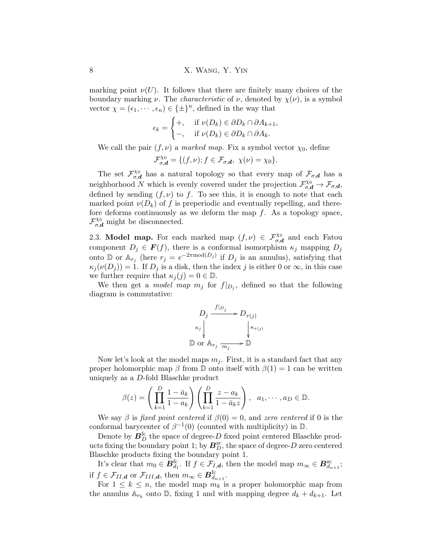marking point  $\nu(U)$ . It follows that there are finitely many choices of the boundary marking  $\nu$ . The *characteristic* of  $\nu$ , denoted by  $\chi(\nu)$ , is a symbol vector  $\chi = (\epsilon_1, \dots, \epsilon_n) \in {\{\pm\}}^n$ , defined in the way that

$$
\epsilon_k = \begin{cases} +, & \text{if } \nu(D_k) \in \partial D_k \cap \partial A_{k+1}, \\ -, & \text{if } \nu(D_k) \in \partial D_k \cap \partial A_k. \end{cases}
$$

We call the pair  $(f, \nu)$  a marked map. Fix a symbol vector  $\chi_0$ , define

$$
\mathcal{F}_{\sigma,\mathbf{d}}^{\chi_0} = \{ (f,\nu); f \in \mathcal{F}_{\sigma,\mathbf{d}}, \ \chi(\nu) = \chi_0 \}.
$$

The set  $\mathcal{F}_{\sigma}^{\chi_0}$  $\mathcal{L}_{\sigma,d}^{\chi_0}$  has a natural topology so that every map of  $\mathcal{F}_{\sigma,d}$  has a neighborhood N which is evenly covered under the projection  $\mathcal{F}_{\sigma,d}^{\chi_0} \to \mathcal{F}_{\sigma,d}$ , defined by sending  $(f, \nu)$  to f. To see this, it is enough to note that each marked point  $\nu(D_k)$  of f is preperiodic and eventually repelling, and therefore deforms continuously as we deform the map  $f$ . As a topology space,  $\mathcal{F}_{\sigma,\mathbf{d}}^{\chi_0}$  might be disconnected.

<span id="page-7-0"></span>2.3. Model map. For each marked map  $(f, \nu) \in \mathcal{F}_{\sigma,d}^{\chi_0}$  and each Fatou component  $D_j \in \mathbf{F}(f)$ , there is a conformal isomorphism  $\kappa_j$  mapping  $D_j$ onto D or  $\mathbb{A}_{r_j}$  (here  $r_j = e^{-2\pi \text{mod}(D_j)}$  if  $D_j$  is an annulus), satisfying that  $\kappa_j(\nu(D_j)) = 1$ . If  $D_j$  is a disk, then the index j is either 0 or  $\infty$ , in this case we further require that  $\kappa_i(j) = 0 \in \mathbb{D}$ .

We then get a *model map*  $m_j$  for  $f|_{D_j}$ , defined so that the following diagram is commutative:

$$
D_j \xrightarrow{f|_{D_j}} D_{\tau(j)}
$$
  
\n
$$
\kappa_j \downarrow \qquad \qquad \downarrow \kappa_{\tau(j)}
$$
  
\n
$$
\mathbb{D} \text{ or } \mathbb{A}_{r_j} \xrightarrow{m_j} \mathbb{D}
$$

Now let's look at the model maps  $m_i$ . First, it is a standard fact that any proper holomorphic map  $\beta$  from D onto itself with  $\beta(1) = 1$  can be written uniquely as a D-fold Blaschke product

$$
\beta(z) = \left(\prod_{k=1}^D \frac{1-\bar{a}_k}{1-a_k}\right) \left(\prod_{k=1}^D \frac{z-a_k}{1-\bar{a}_k z}\right), \quad a_1, \cdots, a_D \in \mathbb{D}.
$$

We say  $\beta$  is fixed point centered if  $\beta(0) = 0$ , and zero centered if 0 is the conformal barycenter of  $\beta^{-1}(0)$  (counted with multiplicity) in D.

Denote by  $\boldsymbol{B}^{\mathrm{fc}}_D$  the space of degree- $D$  fixed point centered Blaschke products fixing the boundary point 1; by  $B_D^{\text{zc}}$ , the space of degree-D zero centered Blaschke products fixing the boundary point 1.

It's clear that  $m_0 \in \mathbf{B}_{d_1}^{\text{fc}}$ . If  $f \in \mathcal{F}_{I,d}$ , then the model map  $m_{\infty} \in \mathbf{B}_{d_{n+1}}^{z_{\text{c}}}$ ; if  $f \in \mathcal{F}_{II,d}$  or  $\mathcal{F}_{III,d}$ , then  $m_{\infty} \in \mathbf{B}_{d_{n+1}}^{\text{fc}}$ .

For  $1 \leq k \leq n$ , the model map  $m_k$  is a proper holomorphic map from the annulus  $\mathbb{A}_{r_k}$  onto  $\mathbb{D}$ , fixing 1 and with mapping degree  $d_k + d_{k+1}$ . Let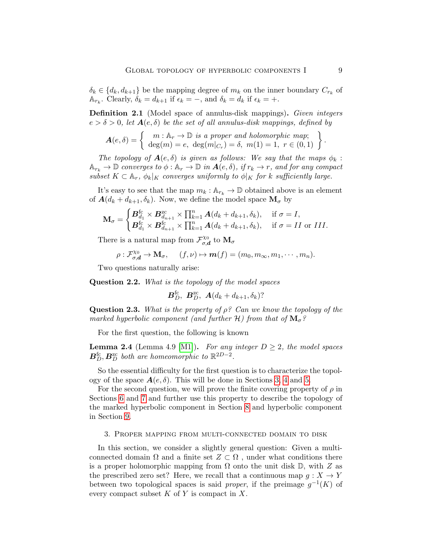$\delta_k \in \{d_k, d_{k+1}\}\$ be the mapping degree of  $m_k$  on the inner boundary  $C_{r_k}$  of  $\mathbb{A}_{r_k}$ . Clearly,  $\delta_k = d_{k+1}$  if  $\epsilon_k = -$ , and  $\delta_k = d_k$  if  $\epsilon_k = +$ .

Definition 2.1 (Model space of annulus-disk mappings). Given integers  $e > \delta > 0$ , let  $A(e, \delta)$  be the set of all annulus-disk mappings, defined by

$$
\mathbf{A}(e,\delta) = \left\{ \begin{array}{c} m: \mathbb{A}_r \to \mathbb{D} \text{ is a proper and holomorphic map;} \\ \deg(m) = e, \ \deg(m|_{C_r}) = \delta, \ m(1) = 1, \ r \in (0,1) \end{array} \right\}.
$$

The topology of  $A(e, \delta)$  is given as follows: We say that the maps  $\phi_k$ :  $\mathbb{A}_{r_k} \to \mathbb{D}$  converges to  $\phi : \mathbb{A}_r \to \mathbb{D}$  in  $\mathbf{A}(e, \delta)$ , if  $r_k \to r$ , and for any compact subset  $K \subset \mathbb{A}_r$ ,  $\phi_k|_K$  converges uniformly to  $\phi|_K$  for k sufficiently large.

It's easy to see that the map  $m_k : \mathbb{A}_{r_k} \to \mathbb{D}$  obtained above is an element of  $\mathbf{A}(d_k + d_{k+1}, \delta_k)$ . Now, we define the model space  $\mathbf{M}_{\sigma}$  by

$$
\mathbf{M}_{\sigma} = \begin{cases} \boldsymbol{B}_{d_1}^{\text{fc}} \times \boldsymbol{B}_{d_{n+1}}^{\text{zc}} \times \prod_{k=1}^{n} \boldsymbol{A}(d_k + d_{k+1}, \delta_k), & \text{if } \sigma = I, \\ \boldsymbol{B}_{d_1}^{\text{fc}} \times \boldsymbol{B}_{d_{n+1}}^{\text{fc}} \times \prod_{k=1}^{n} \boldsymbol{A}(d_k + d_{k+1}, \delta_k), & \text{if } \sigma = II \text{ or } III. \end{cases}
$$

There is a natural map from  $\mathcal{F}_{\sigma}^{\chi_0}$  $\vec{\sigma}^{\chi_0}_{\sigma,\bm{d}}$  to  $\mathbf{M}_\sigma$ 

$$
\rho: \mathcal{F}_{\sigma,\mathbf{d}}^{\chi_0} \to \mathbf{M}_{\sigma}, \quad (f,\nu) \mapsto \mathbf{m}(f) = (m_0, m_{\infty}, m_1, \cdots, m_n).
$$

Two questions naturally arise:

Question 2.2. What is the topology of the model spaces

$$
\boldsymbol{B}_{D}^{\text{fc}}, \ \boldsymbol{B}_{D}^{\text{zc}}, \ \boldsymbol{A}(d_k+d_{k+1},\delta_k)?
$$

**Question 2.3.** What is the property of  $\rho$ ? Can we know the topology of the marked hyperbolic component (and further  $H$ ) from that of  $M_{\sigma}$ ?

For the first question, the following is known

<span id="page-8-1"></span>**Lemma 2.4** (Lemma 4.9 [\[M1\]](#page-34-0)). For any integer  $D \geq 2$ , the model spaces  $\mathbf{B}_{D}^{\text{fc}}, \mathbf{B}_{D}^{\text{zc}}$  both are homeomorphic to  $\mathbb{R}^{2D-2}$ .

So the essential difficulty for the first question is to characterize the topology of the space  $A(e, \delta)$ . This will be done in Sections [3,](#page-8-0) [4](#page-11-0) and [5.](#page-14-0)

For the second question, we will prove the finite covering property of  $\rho$  in Sections [6](#page-17-1) and [7](#page-20-0) and further use this property to describe the topology of the marked hyperbolic component in Section [8](#page-25-0) and hyperbolic component in Section [9.](#page-26-0)

### <span id="page-8-0"></span>3. Proper mapping from multi-connected domain to disk

In this section, we consider a slightly general question: Given a multiconnected domain  $\Omega$  and a finite set  $Z \subset \Omega$ , under what conditions there is a proper holomorphic mapping from  $\Omega$  onto the unit disk  $\mathbb{D}$ , with Z as the prescribed zero set? Here, we recall that a continuous map  $q: X \to Y$ between two topological spaces is said *proper*, if the preimage  $g^{-1}(K)$  of every compact subset  $K$  of  $Y$  is compact in  $X$ .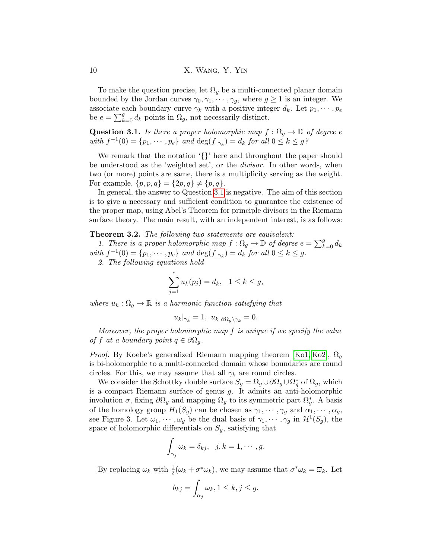To make the question precise, let  $\Omega_q$  be a multi-connected planar domain bounded by the Jordan curves  $\gamma_0, \gamma_1, \cdots, \gamma_g$ , where  $g \ge 1$  is an integer. We associate each boundary curve  $\gamma_k$  with a positive integer  $d_k$ . Let  $p_1, \dots, p_e$ be  $e = \sum_{k=0}^{g} d_k$  points in  $\Omega_g$ , not necessarily distinct.

<span id="page-9-0"></span>**Question 3.1.** Is there a proper holomorphic map  $f : \Omega_q \to \mathbb{D}$  of degree e with  $f^{-1}(0) = \{p_1, \dots, p_e\}$  and  $\deg(f|_{\gamma_k}) = d_k$  for all  $0 \le k \le g$ ?

We remark that the notation '{}' here and throughout the paper should be understood as the 'weighted set', or the divisor. In other words, when two (or more) points are same, there is a multiplicity serving as the weight. For example,  $\{p, p, q\} = \{2p, q\} \neq \{p, q\}.$ 

In general, the answer to Question [3.1](#page-9-0) is negative. The aim of this section is to give a necessary and sufficient condition to guarantee the existence of the proper map, using Abel's Theorem for principle divisors in the Riemann surface theory. The main result, with an independent interest, is as follows:

<span id="page-9-1"></span>Theorem 3.2. The following two statements are equivalent:

1. There is a proper holomorphic map  $f : \Omega_g \to \mathbb{D}$  of degree  $e = \sum_{k=0}^g d_k$ with  $f^{-1}(0) = \{p_1, \dots, p_e\}$  and  $\deg(f|_{\gamma_k}) = d_k$  for all  $0 \le k \le g$ .

2. The following equations hold

$$
\sum_{j=1}^{e} u_k(p_j) = d_k, \quad 1 \le k \le g,
$$

where  $u_k : \Omega_q \to \mathbb{R}$  is a harmonic function satisfying that

$$
u_k|_{\gamma_k} = 1, \ u_k|_{\partial \Omega_g \setminus \gamma_k} = 0.
$$

Moreover, the proper holomorphic map  $f$  is unique if we specify the value of f at a boundary point  $q \in \partial \Omega_q$ .

*Proof.* By Koebe's generalized Riemann mapping theorem [\[Ko1,](#page-33-16) [Ko2\]](#page-33-17),  $\Omega_q$ is bi-holomorphic to a multi-connected domain whose boundaries are round circles. For this, we may assume that all  $\gamma_k$  are round circles.

We consider the Schottky double surface  $S_g = \Omega_g \cup \partial \Omega_g \cup \Omega_g^*$  of  $\Omega_g$ , which is a compact Riemann surface of genus g. It admits an anti-holomorphic involution  $\sigma$ , fixing  $\partial\Omega_g$  and mapping  $\Omega_g$  to its symmetric part  $\Omega_g^*$ . A basis of the homology group  $H_1(S_g)$  can be chosen as  $\gamma_1, \dots, \gamma_g$  and  $\alpha_1, \dots, \alpha_g$ , see Figure 3. Let  $\omega_1, \dots, \omega_g$  be the dual basis of  $\gamma_1, \dots, \gamma_g$  in  $\mathcal{H}^1(S_g)$ , the space of holomorphic differentials on  $S_g$ , satisfying that

$$
\int_{\gamma_j} \omega_k = \delta_{kj}, \ \ j,k = 1,\cdots,g.
$$

By replacing  $\omega_k$  with  $\frac{1}{2}(\omega_k + \overline{\sigma^*\omega_k})$ , we may assume that  $\sigma^*\omega_k = \overline{\omega}_k$ . Let

$$
b_{kj} = \int_{\alpha_j} \omega_k, 1 \le k, j \le g.
$$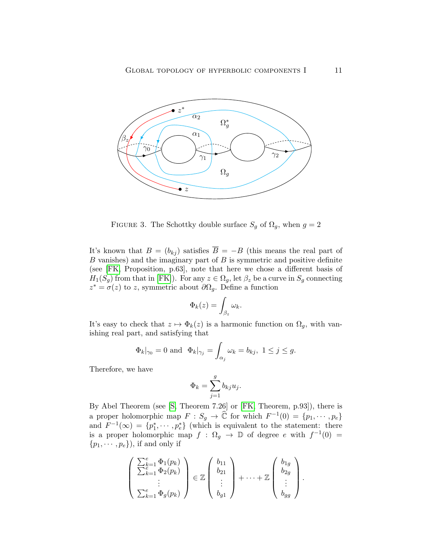

FIGURE 3. The Schottky double surface  $S_g$  of  $\Omega_g$ , when  $g = 2$ 

It's known that  $B = (b_{kj})$  satisfies  $\overline{B} = -B$  (this means the real part of  $B$  vanishes) and the imaginary part of  $B$  is symmetric and positive definite (see [\[FK,](#page-33-18) Proposition, p.63], note that here we chose a different basis of  $H_1(S_g)$  from that in [\[FK\]](#page-33-18)). For any  $z \in \Omega_g$ , let  $\beta_z$  be a curve in  $S_g$  connecting  $z^* = \sigma(z)$  to z, symmetric about  $\partial\Omega_g$ . Define a function

$$
\Phi_k(z) = \int_{\beta_z} \omega_k.
$$

It's easy to check that  $z \mapsto \Phi_k(z)$  is a harmonic function on  $\Omega_g$ , with vanishing real part, and satisfying that

$$
\Phi_k|_{\gamma_0} = 0
$$
 and  $\Phi_k|_{\gamma_j} = \int_{\alpha_j} \omega_k = b_{kj}, 1 \le j \le g.$ 

Therefore, we have

$$
\Phi_k = \sum_{j=1}^g b_{kj} u_j.
$$

By Abel Theorem (see [\[S,](#page-34-6) Theorem 7.26] or [\[FK,](#page-33-18) Theorem, p.93]), there is a proper holomorphic map  $F : S_g \to \hat{\mathbb{C}}$  for which  $F^{-1}(0) = \{p_1, \dots, p_e\}$ and  $F^{-1}(\infty) = \{p_1^*, \cdots, p_e^*\}$  (which is equivalent to the statement: there is a proper holomorphic map  $f : \Omega_g \to \mathbb{D}$  of degree e with  $f^{-1}(0) =$  $\{p_1, \cdots, p_e\}$ , if and only if

$$
\left(\begin{array}{c}\sum_{k=1}^{e}\Phi_1(p_k)\\ \sum_{k=1}^{e}\Phi_2(p_k)\\ \vdots\\ \sum_{k=1}^{e}\Phi_g(p_k)\end{array}\right)\in\mathbb{Z}\left(\begin{array}{c}b_{11}\\ b_{21}\\ \vdots\\ b_{g1}\end{array}\right)+\cdots+\mathbb{Z}\left(\begin{array}{c}b_{1g}\\ b_{2g}\\ \vdots\\ b_{gg}\end{array}\right).
$$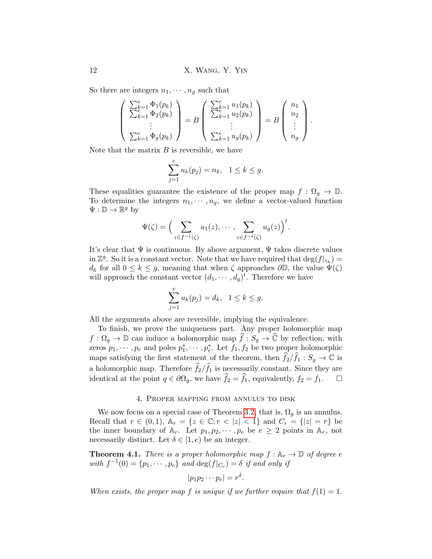So there are integers  $n_1, \dots, n_q$  such that

$$
\begin{pmatrix}\n\sum_{k=1}^{e} \Phi_1(p_k) \\
\sum_{k=1}^{e} \Phi_2(p_k) \\
\vdots \\
\sum_{k=1}^{e} \Phi_g(p_k)\n\end{pmatrix} = B \begin{pmatrix}\n\sum_{k=1}^{e} u_1(p_k) \\
\sum_{k=1}^{e} u_2(p_k) \\
\vdots \\
\sum_{k=1}^{e} u_g(p_k)\n\end{pmatrix} = B \begin{pmatrix}\nn_1 \\
n_2 \\
\vdots \\
n_g\n\end{pmatrix}.
$$

Note that the matrix  $B$  is reversible, we have

$$
\sum_{j=1}^{e} u_k(p_j) = n_k, \ \ 1 \le k \le g.
$$

These equalities guarantee the existence of the proper map  $f : \Omega_q \to \mathbb{D}$ . To determine the integers  $n_1, \dots, n_g$ , we define a vector-valued function  $\Psi: \mathbb{D} \to \mathbb{R}^g$  by

$$
\Psi(\zeta) = \Big(\sum_{z \in f^{-1}(\zeta)} u_1(z), \cdots, \sum_{z \in f^{-1}(\zeta)} u_g(z)\Big)^t.
$$

It's clear that  $\Psi$  is continuous. By above argument,  $\Psi$  takes discrete values in  $\mathbb{Z}^g$ . So it is a constant vector. Note that we have required that  $\deg(f|_{\gamma_k}) =$  $d_k$  for all  $0 \leq k \leq g$ , meaning that when  $\zeta$  approaches  $\partial \mathbb{D}$ , the value  $\Psi(\zeta)$ will approach the constant vector  $(d_1, \dots, d_g)^t$ . Therefore we have

$$
\sum_{j=1}^{e} u_k(p_j) = d_k, \ \ 1 \le k \le g.
$$

All the arguments above are reversible, implying the equivalence.

To finish, we prove the uniqueness part. Any proper holomorphic map  $f : \Omega_g \to \mathbb{D}$  can induce a holomorphic map  $\widehat{f} : S_g \to \widehat{\mathbb{C}}$  by reflection, with zeros  $p_1, \dots, p_e$  and poles  $p_1^*, \dots, p_e^*$ . Let  $f_1, f_2$  be two proper holomorphic maps satisfying the first statement of the theorem, then  $\widehat{f}_2/\widehat{f}_1 : S_g \to \mathbb{C}$  is a holomorphic map. Therefore  $\hat{f}_2/\hat{f}_1$  is necessarily constant. Since they are identical at the point  $q \in \partial\Omega_a$ , we have  $\hat{f}_2 = \hat{f}_1$ , equivalently,  $f_2 = f_1$ . identical at the point  $q \in \partial \Omega_q$ , we have  $\widehat{f}_2 = \widehat{f}_1$ , equivalently,  $f_2 = f_1$ .

### 4. Proper mapping from annulus to disk

<span id="page-11-0"></span>We now focus on a special case of Theorem [3.2,](#page-9-1) that is,  $\Omega_q$  is an annulus. Recall that  $r \in (0,1)$ ,  $\mathbb{A}_r = \{z \in \mathbb{C}; r < |z| < 1\}$  and  $C_r = \{|z| = r\}$  be the inner boundary of  $A_r$ . Let  $p_1, p_2, \dots, p_e$  be  $e \geq 2$  points in  $A_r$ , not necessarily distinct. Let  $\delta \in [1, e)$  be an integer.

<span id="page-11-1"></span>**Theorem 4.1.** There is a proper holomorphic map  $f : A_r \to \mathbb{D}$  of degree e with  $f^{-1}(0) = \{p_1, \dots, p_e\}$  and  $\deg(f|_{C_r}) = \delta$  if and only if

$$
|p_1p_2\cdots p_e|=r^{\delta}.
$$

When exists, the proper map f is unique if we further require that  $f(1) = 1$ .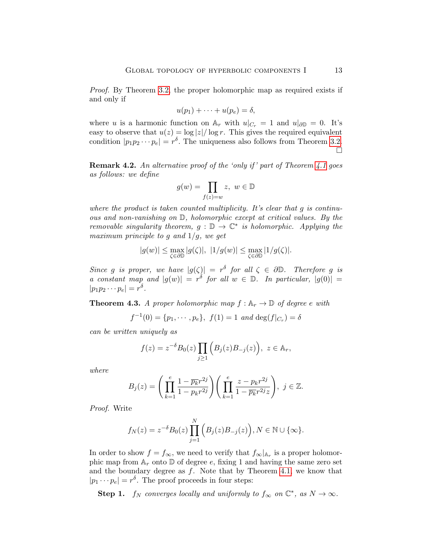Proof. By Theorem [3.2,](#page-9-1) the proper holomorphic map as required exists if and only if

$$
u(p_1) + \cdots + u(p_e) = \delta,
$$

where u is a harmonic function on  $\mathbb{A}_r$  with  $u|_{C_r} = 1$  and  $u|_{\partial \mathbb{D}} = 0$ . It's easy to observe that  $u(z) = \log |z| / \log r$ . This gives the required equivalent condition  $|p_1p_2\cdots p_e|=r^{\delta}$ . The uniqueness also follows from Theorem [3.2.](#page-9-1)  $\Box$ 

**Remark 4.2.** An alternative proof of the 'only if' part of Theorem [4.1](#page-11-1) goes as follows: we define

$$
g(w) = \prod_{f(z) = w} z, \ w \in \mathbb{D}
$$

where the product is taken counted multiplicity. It's clear that  $q$  is continuous and non-vanishing on D, holomorphic except at critical values. By the removable singularity theorem,  $g : \mathbb{D} \to \mathbb{C}^*$  is holomorphic. Applying the maximum principle to g and  $1/g$ , we get

$$
|g(w)| \leq \max_{\zeta \in \partial \mathbb{D}} |g(\zeta)|, \ |1/g(w)| \leq \max_{\zeta \in \partial \mathbb{D}} |1/g(\zeta)|.
$$

Since g is proper, we have  $|g(\zeta)| = r^{\delta}$  for all  $\zeta \in \partial \mathbb{D}$ . Therefore g is a constant map and  $|g(w)| = r^{\delta}$  for all  $w \in \mathbb{D}$ . In particular,  $|g(0)| =$  $|p_1p_2\cdots p_e|=r^{\delta}.$ 

<span id="page-12-0"></span>**Theorem 4.3.** A proper holomorphic map  $f : A_r \to \mathbb{D}$  of degree e with

$$
f^{-1}(0) = \{p_1, \dots, p_e\}, \ f(1) = 1 \ and \deg(f|_{C_r}) = \delta
$$

can be written uniquely as

$$
f(z) = z^{-\delta} B_0(z) \prod_{j \ge 1} (B_j(z) B_{-j}(z)), \ z \in \mathbb{A}_r,
$$

where

$$
B_j(z) = \left(\prod_{k=1}^e \frac{1 - \overline{p_k}r^{2j}}{1 - p_kr^{2j}}\right) \left(\prod_{k=1}^e \frac{z - p_kr^{2j}}{1 - \overline{p_k}r^{2j}z}\right), \ j \in \mathbb{Z}.
$$

Proof. Write

$$
f_N(z) = z^{-\delta} B_0(z) \prod_{j=1}^N (B_j(z) B_{-j}(z)), N \in \mathbb{N} \cup \{\infty\}.
$$

In order to show  $f = f_{\infty}$ , we need to verify that  $f_{\infty}|_{A_r}$  is a proper holomorphic map from  $A_r$  onto  $D$  of degree e, fixing 1 and having the same zero set and the boundary degree as  $f$ . Note that by Theorem [4.1,](#page-11-1) we know that  $|p_1 \cdots p_e| = r^{\delta}$ . The proof proceeds in four steps:

Step 1.  $f_N$  converges locally and uniformly to  $f_\infty$  on  $\mathbb{C}^*$ , as  $N \to \infty$ .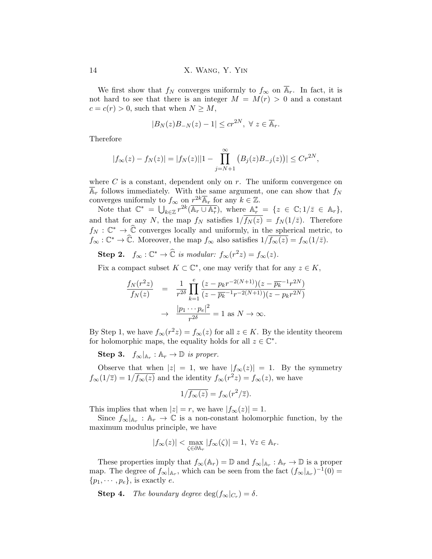We first show that  $f_N$  converges uniformly to  $f_\infty$  on  $\mathbb{A}_r$ . In fact, it is not hard to see that there is an integer  $M = M(r) > 0$  and a constant  $c = c(r) > 0$ , such that when  $N \geq M$ ,

$$
|B_N(z)B_{-N}(z) - 1| \le cr^{2N}, \ \forall \ z \in \overline{\mathbb{A}}_r.
$$

Therefore

$$
|f_{\infty}(z) - f_{N}(z)| = |f_{N}(z)||1 - \prod_{j=N+1}^{\infty} (B_{j}(z)B_{-j}(z))| \le Cr^{2N},
$$

where  $C$  is a constant, dependent only on  $r$ . The uniform convergence on  $A_r$  follows immediately. With the same argument, one can show that  $f_N$ converges uniformly to  $f_{\infty}$  on  $r^{2k}\overline{\mathbb{A}}_r$  for any  $k\in\mathbb{Z}$ .

Note that  $\mathbb{C}^* = \bigcup_{k \in \mathbb{Z}} r^{2k} (\overline{\mathbb{A}_r \cup \mathbb{A}_r^*})$ , where  $\mathbb{A}_r^* = \{z \in \mathbb{C}; 1/\overline{z} \in \mathbb{A}_r\},$ and that for any N, the map  $f_N$  satisfies  $1/\overline{f_N(z)} = f_N(1/\overline{z})$ . Therefore  $f_N : \mathbb{C}^* \to \widehat{\mathbb{C}}$  converges locally and uniformly, in the spherical metric, to  $f_{\infty}: \mathbb{C}^* \to \widehat{\mathbb{C}}$ . Moreover, the map  $f_{\infty}$  also satisfies  $1/\overline{f_{\infty}(z)} = f_{\infty}(1/\overline{z})$ .

**Step 2.**  $f_{\infty}: \mathbb{C}^* \to \widehat{\mathbb{C}}$  is modular:  $f_{\infty}(r^2z) = f_{\infty}(z)$ .

Fix a compact subset  $K \subset \mathbb{C}^*$ , one may verify that for any  $z \in K$ ,

$$
\frac{f_N(r^2z)}{f_N(z)} = \frac{1}{r^{2\delta}} \prod_{k=1}^e \frac{(z - p_k r^{-2(N+1)})(z - \overline{p_k}^{-1} r^{2N})}{(z - \overline{p_k}^{-1} r^{-2(N+1)})(z - p_k r^{2N})}
$$

$$
\to \frac{|p_1 \cdots p_e|^2}{r^{2\delta}} = 1 \text{ as } N \to \infty.
$$

By Step 1, we have  $f_{\infty}(r^2z) = f_{\infty}(z)$  for all  $z \in K$ . By the identity theorem for holomorphic maps, the equality holds for all  $z \in \mathbb{C}^*$ .

**Step 3.**  $f_{\infty}|_{\mathbb{A}_r} : \mathbb{A}_r \to \mathbb{D}$  is proper.

Observe that when  $|z| = 1$ , we have  $|f_{\infty}(z)| = 1$ . By the symmetry  $f_{\infty}(1/\overline{z}) = 1/\overline{f_{\infty}(z)}$  and the identity  $f_{\infty}(r^2z) = f_{\infty}(z)$ , we have

$$
1/\overline{f_{\infty}(z)} = f_{\infty}(r^2/\overline{z}).
$$

This implies that when  $|z| = r$ , we have  $|f_{\infty}(z)| = 1$ .

Since  $f_{\infty}|_{A_r} : A_r \to \mathbb{C}$  is a non-constant holomorphic function, by the maximum modulus principle, we have

$$
|f_{\infty}(z)| < \max_{\zeta \in \partial \mathbb{A}_r} |f_{\infty}(\zeta)| = 1, \ \forall z \in \mathbb{A}_r.
$$

These properties imply that  $f_{\infty}(\mathbb{A}_r) = \mathbb{D}$  and  $f_{\infty}|_{\mathbb{A}_r} : \mathbb{A}_r \to \mathbb{D}$  is a proper map. The degree of  $f_{\infty}|_{A_r}$ , which can be seen from the fact  $(f_{\infty}|_{A_r})^{-1}(0)$  =  $\{p_1, \cdots, p_e\}$ , is exactly e.

**Step 4.** The boundary degree  $\deg(f_{\infty}|_{C_r}) = \delta$ .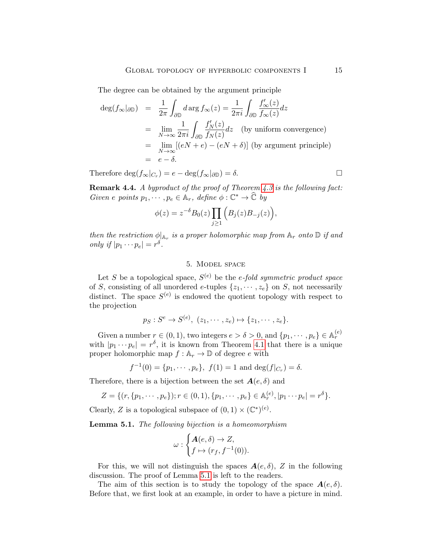The degree can be obtained by the argument principle

$$
\begin{array}{rcl}\n\deg(f_{\infty}|_{\partial \mathbb{D}}) & = & \frac{1}{2\pi} \int_{\partial \mathbb{D}} d \arg f_{\infty}(z) = \frac{1}{2\pi i} \int_{\partial \mathbb{D}} \frac{f'_{\infty}(z)}{f_{\infty}(z)} dz \\
& = & \lim_{N \to \infty} \frac{1}{2\pi i} \int_{\partial \mathbb{D}} \frac{f'_{N}(z)}{f_{N}(z)} dz \quad \text{(by uniform convergence)} \\
& = & \lim_{N \to \infty} [(eN + e) - (eN + \delta)] \text{ (by argument principle)} \\
& = & e - \delta.\n\end{array}
$$

Therefore  $\deg(f_{\infty}|_{C_r}) = e - \deg(f_{\infty}|_{\partial \mathbb{D}}) = \delta.$ 

Remark 4.4. A byproduct of the proof of Theorem [4.3](#page-12-0) is the following fact: Given e points  $p_1, \dots, p_e \in \mathbb{A}_r$ , define  $\phi : \mathbb{C}^* \to \widehat{\mathbb{C}}$  by

$$
\phi(z) = z^{-\delta} B_0(z) \prod_{j \ge 1} (B_j(z) B_{-j}(z)),
$$

then the restriction  $\phi|_{A_r}$  is a proper holomorphic map from  $A_r$  onto  $\mathbb D$  if and only if  $|p_1 \cdots p_e| = r^{\delta}$ .

## 5. Model space

<span id="page-14-0"></span>Let S be a topological space,  $S^{(e)}$  be the e-fold symmetric product space of S, consisting of all unordered e-tuples  $\{z_1, \dots, z_e\}$  on S, not necessarily distinct. The space  $S^{(e)}$  is endowed the quotient topology with respect to the projection

$$
p_S: S^e \to S^{(e)}, (z_1, \cdots, z_e) \mapsto \{z_1, \cdots, z_e\}.
$$

Given a number  $r \in (0, 1)$ , two integers  $e > \delta > 0$ , and  $\{p_1, \dots, p_e\} \in A_r^{(e)}$ with  $|p_1 \cdots p_e| = r^{\delta}$ , it is known from Theorem [4.1](#page-11-1) that there is a unique proper holomorphic map  $f : \mathbb{A}_r \to \mathbb{D}$  of degree e with

$$
f^{-1}(0) = \{p_1, \dots, p_e\}, f(1) = 1
$$
 and  $\deg(f|_{C_r}) = \delta$ .

Therefore, there is a bijection between the set  $A(e, \delta)$  and

$$
Z = \{(r, \{p_1, \cdots, p_e\}); r \in (0, 1), \{p_1, \cdots, p_e\} \in A_r^{(e)}, |p_1 \cdots p_e| = r^{\delta}\}.
$$

Clearly, Z is a topological subspace of  $(0, 1) \times (\mathbb{C}^*)^{(e)}$ .

<span id="page-14-1"></span>Lemma 5.1. The following bijection is a homeomorphism

$$
\omega: \begin{cases} \mathbf{A}(e,\delta) \to Z, \\ f \mapsto (r_f, f^{-1}(0)). \end{cases}
$$

For this, we will not distinguish the spaces  $A(e, \delta)$ , Z in the following discussion. The proof of Lemma [5.1](#page-14-1) is left to the readers.

The aim of this section is to study the topology of the space  $A(e, \delta)$ . Before that, we first look at an example, in order to have a picture in mind.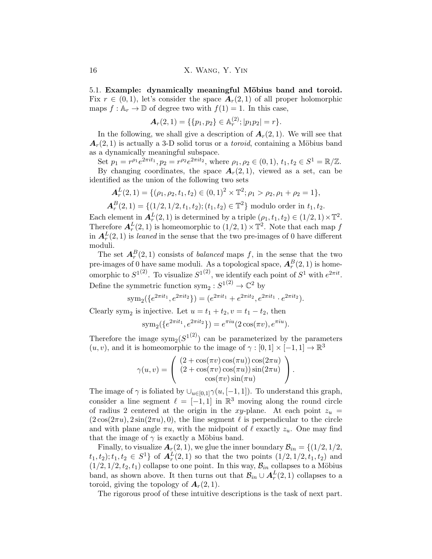5.1. Example: dynamically meaningful Möbius band and toroid. Fix  $r \in (0, 1)$ , let's consider the space  $A_r(2, 1)$  of all proper holomorphic maps  $f : \mathbb{A}_r \to \mathbb{D}$  of degree two with  $f(1) = 1$ . In this case,

$$
\mathbf{A}_r(2,1) = \{ \{p_1, p_2\} \in \mathbb{A}_r^{(2)}; |p_1 p_2| = r \}.
$$

In the following, we shall give a description of  $A_r(2,1)$ . We will see that  $A_r(2, 1)$  is actually a 3-D solid torus or a *toroid*, containing a Möbius band as a dynamically meaningful subspace.

Set  $p_1 = r^{\rho_1} e^{2\pi i t_1}, p_2 = r^{\rho_2} e^{2\pi i t_2}$ , where  $\rho_1, \rho_2 \in (0, 1), t_1, t_2 \in S^1 = \mathbb{R}/\mathbb{Z}$ . By changing coordinates, the space  $A_r(2,1)$ , viewed as a set, can be identified as the union of the following two sets

$$
\mathbf{A}_r^L(2,1) = \{(\rho_1, \rho_2, t_1, t_2) \in (0,1)^2 \times \mathbb{T}^2; \rho_1 > \rho_2, \rho_1 + \rho_2 = 1\},\
$$

$$
\mathbf{A}_r^B(2,1) = \{ (1/2, 1/2, t_1, t_2); (t_1, t_2) \in \mathbb{T}^2 \} \text{ modulo order in } t_1, t_2.
$$

Each element in  $A_r^L(2,1)$  is determined by a triple  $(\rho_1, t_1, t_2) \in (1/2, 1) \times \mathbb{T}^2$ . Therefore  $A_r^L(2,1)$  is homeomorphic to  $(1/2,1) \times \mathbb{T}^2$ . Note that each map f in  $A_r^L(2,1)$  is leaned in the sense that the two pre-images of 0 have different moduli.

The set  $A_r^B(2,1)$  consists of *balanced* maps f, in the sense that the two pre-images of 0 have same moduli. As a topological space,  $A_r^B(2,1)$  is homeomorphic to  $S^{1(2)}$ . To visualize  $S^{1(2)}$ , we identify each point of  $S^1$  with  $e^{2\pi it}$ . Define the symmetric function  $sym_2: S^{1(2)} \to \mathbb{C}^2$  by

$$
sym_2({e^{2\pi it_1}, e^{2\pi it_2}}) = (e^{2\pi it_1} + e^{2\pi it_2}, e^{2\pi it_1} \cdot e^{2\pi it_2}).
$$

Clearly sym<sub>2</sub> is injective. Let  $u = t_1 + t_2, v = t_1 - t_2$ , then

$$
sym_2({e^{2\pi it_1}, e^{2\pi it_2}}) = e^{\pi i u}(2\cos(\pi v), e^{\pi i u}).
$$

Therefore the image  $\text{sym}_2(S^{1(2)})$  can be parameterized by the parameters  $(u, v)$ , and it is homeomorphic to the image of  $\gamma : [0, 1] \times [-1, 1] \rightarrow \mathbb{R}^3$ 

$$
\gamma(u,v) = \left( \begin{array}{c} (2+\cos(\pi v)\cos(\pi u))\cos(2\pi u) \\ (2+\cos(\pi v)\cos(\pi u))\sin(2\pi u) \\ \cos(\pi v)\sin(\pi u) \end{array} \right).
$$

The image of  $\gamma$  is foliated by  $\bigcup_{u\in[0,1]}\gamma(u,[-1,1])$ . To understand this graph, consider a line segment  $\ell = [-1, 1]$  in  $\mathbb{R}^3$  moving along the round circle of radius 2 centered at the origin in the xy-plane. At each point  $z_u$  =  $(2\cos(2\pi u), 2\sin(2\pi u), 0)$ , the line segment  $\ell$  is perpendicular to the circle and with plane angle  $\pi u$ , with the midpoint of  $\ell$  exactly  $z_u$ . One may find that the image of  $\gamma$  is exactly a Möbius band.

Finally, to visualize  $A_r(2, 1)$ , we glue the inner boundary  $B_{in} = \{(1/2, 1/2, 1/2)\}$  $(t_1, t_2); t_1, t_2 \in S^1$  of  $A_r^L(2, 1)$  so that the two points  $(1/2, 1/2, t_1, t_2)$  and  $(1/2, 1/2, t_2, t_1)$  collapse to one point. In this way,  $\mathcal{B}_{in}$  collapses to a Möbius band, as shown above. It then turns out that  $\mathcal{B}_{in} \cup A_r^L(2,1)$  collapses to a toroid, giving the topology of  $A_r(2, 1)$ .

The rigorous proof of these intuitive descriptions is the task of next part.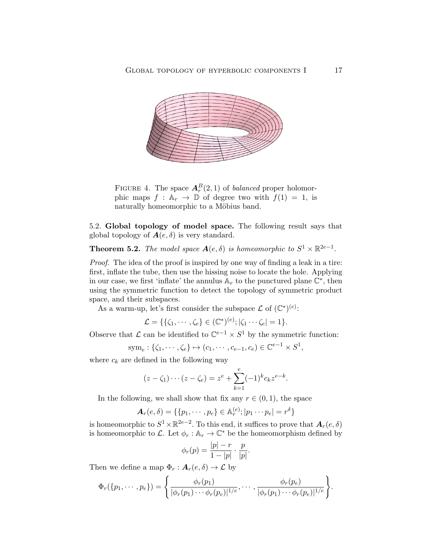

FIGURE 4. The space  $A_r^B(2,1)$  of *balanced* proper holomorphic maps  $f : \mathbb{A}_r \to \mathbb{D}$  of degree two with  $f(1) = 1$ , is naturally homeomorphic to a Möbius band.

5.2. Global topology of model space. The following result says that global topology of  $A(e, \delta)$  is very standard.

<span id="page-16-0"></span>**Theorem 5.2.** The model space  $A(e, \delta)$  is homeomorphic to  $S^1 \times \mathbb{R}^{2e-1}$ .

Proof. The idea of the proof is inspired by one way of finding a leak in a tire: first, inflate the tube, then use the hissing noise to locate the hole. Applying in our case, we first 'inflate' the annulus  $\mathbb{A}_r$  to the punctured plane  $\mathbb{C}^*$ , then using the symmetric function to detect the topology of symmetric product space, and their subspaces.

As a warm-up, let's first consider the subspace  $\mathcal L$  of  $(\mathbb C^*)^{(e)}$ :

$$
\mathcal{L} = \{ \{\zeta_1, \cdots, \zeta_e\} \in (\mathbb{C}^*)^{(e)}; |\zeta_1 \cdots \zeta_e| = 1 \}.
$$

Observe that  $\mathcal L$  can be identified to  $\mathbb C^{e-1} \times S^1$  by the symmetric function:

$$
sym_e: \{\zeta_1, \cdots, \zeta_e\} \mapsto (c_1, \cdots, c_{e-1}, c_e) \in \mathbb{C}^{e-1} \times S^1,
$$

where  $c_k$  are defined in the following way

$$
(z - \zeta_1) \cdots (z - \zeta_e) = z^e + \sum_{k=1}^e (-1)^k c_k z^{e-k}.
$$

In the following, we shall show that fix any  $r \in (0,1)$ , the space

$$
\mathbf{A}_r(e,\delta) = \{ \{p_1, \cdots, p_e\} \in \mathbb{A}_r^{(e)}; |p_1 \cdots p_e| = r^{\delta} \}
$$

is homeomorphic to  $S^1 \times \mathbb{R}^{2e-2}$ . To this end, it suffices to prove that  $\mathbf{A}_r(e,\delta)$ is homeomorphic to L. Let  $\phi_r : \mathbb{A}_r \to \mathbb{C}^*$  be the homeomorphism defined by

$$
\phi_r(p) = \frac{|p| - r}{1 - |p|} \cdot \frac{p}{|p|}.
$$

Then we define a map  $\Phi_r : \mathbf{A}_r(e, \delta) \to \mathcal{L}$  by

$$
\Phi_r(\{p_1,\dots,p_e\})=\left\{\frac{\phi_r(p_1)}{|\phi_r(p_1)\cdots\phi_r(p_e)|^{1/e}},\dots,\frac{\phi_r(p_e)}{|\phi_r(p_1)\cdots\phi_r(p_e)|^{1/e}}\right\}.
$$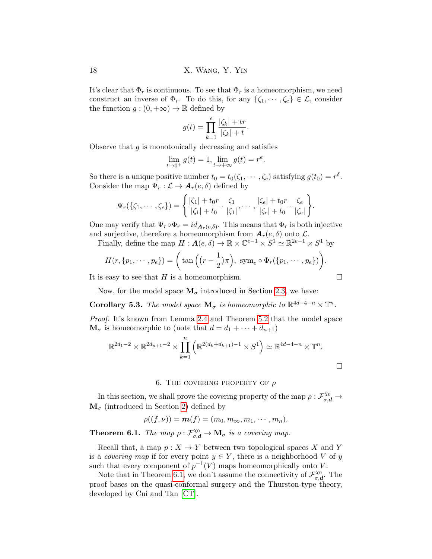It's clear that  $\Phi_r$  is continuous. To see that  $\Phi_r$  is a homeomorphism, we need construct an inverse of  $\Phi_r$ . To do this, for any  $\{\zeta_1, \dots, \zeta_e\} \in \mathcal{L}$ , consider the function  $g:(0, +\infty) \to \mathbb{R}$  defined by

$$
g(t) = \prod_{k=1}^{e} \frac{|\zeta_k| + tr}{|\zeta_k| + t}.
$$

Observe that  $g$  is monotonically decreasing and satisfies

$$
\lim_{t \to 0^+} g(t) = 1, \lim_{t \to +\infty} g(t) = r^e.
$$

So there is a unique positive number  $t_0 = t_0(\zeta_1, \dots, \zeta_e)$  satisfying  $g(t_0) = r^{\delta}$ . Consider the map  $\Psi_r : \mathcal{L} \to \mathbf{A}_r(e, \delta)$  defined by

$$
\Psi_r(\{\zeta_1,\dots,\zeta_e\}) = \left\{ \frac{|\zeta_1|+t_0r}{|\zeta_1|+t_0} \cdot \frac{\zeta_1}{|\zeta_1|},\dots,\frac{|\zeta_e|+t_0r}{|\zeta_e|+t_0} \cdot \frac{\zeta_e}{|\zeta_e|} \right\}.
$$

One may verify that  $\Psi_r \circ \Phi_r = id_{\mathbf{A}_r(e,\delta)}$ . This means that  $\Phi_r$  is both injective and surjective, therefore a homeomorphism from  $A_r(e, \delta)$  onto  $\mathcal{L}$ .

Finally, define the map  $H: \mathcal{A}(e, \delta) \to \mathbb{R} \times \mathbb{C}^{e-1} \times S^1 \simeq \mathbb{R}^{2e-1} \times S^1$  by

$$
H(r, \{p_1, \cdots, p_e\}) = \left(\tan\left(\left(r - \frac{1}{2}\right)\pi\right), \text{ sym}_e \circ \Phi_r(\{p_1, \cdots, p_e\})\right).
$$

It is easy to see that  $H$  is a homeomorphism.

Now, for the model space  $M_{\sigma}$  introduced in Section [2.3,](#page-7-0) we have:

<span id="page-17-0"></span>**Corollary 5.3.** The model space  $\mathbf{M}_{\sigma}$  is homeomorphic to  $\mathbb{R}^{4d-4-n} \times \mathbb{T}^n$ .

Proof. It's known from Lemma [2.4](#page-8-1) and Theorem [5.2](#page-16-0) that the model space  $\mathbf{M}_{\sigma}$  is homeomorphic to (note that  $d = d_1 + \cdots + d_{n+1}$ )

$$
\mathbb{R}^{2d_1 - 2} \times \mathbb{R}^{2d_{n+1} - 2} \times \prod_{k=1}^{n} \left( \mathbb{R}^{2(d_k + d_{k+1}) - 1} \times S^1 \right) \simeq \mathbb{R}^{4d - 4 - n} \times \mathbb{T}^n.
$$

### 6. THE COVERING PROPERTY OF  $\rho$

<span id="page-17-1"></span>In this section, we shall prove the covering property of the map  $\rho: \mathcal{F}_{\sigma,d}^{\chi_0} \to$  $\mathbf{M}_{\sigma}$  (introduced in Section [2\)](#page-4-0) defined by

$$
\rho((f,\nu)) = \mathbf{m}(f) = (m_0,m_\infty,m_1,\cdots,m_n).
$$

<span id="page-17-2"></span>**Theorem 6.1.** The map  $\rho : \mathcal{F}_{\sigma,d}^{\chi_0} \to \mathbf{M}_{\sigma}$  is a covering map.

Recall that, a map  $p: X \to Y$  between two topological spaces X and Y is a *covering map* if for every point  $y \in Y$ , there is a neighborhood V of y such that every component of  $p^{-1}(V)$  maps homeomorphically onto V.

Note that in Theorem [6.1,](#page-17-2) we don't assume the connectivity of  $\mathcal{F}_{\sigma}^{\chi_0}$  $\sigma, d$ . The proof bases on the quasi-conformal surgery and the Thurston-type theory, developed by Cui and Tan [\[CT\]](#page-33-19).

$$
\Box
$$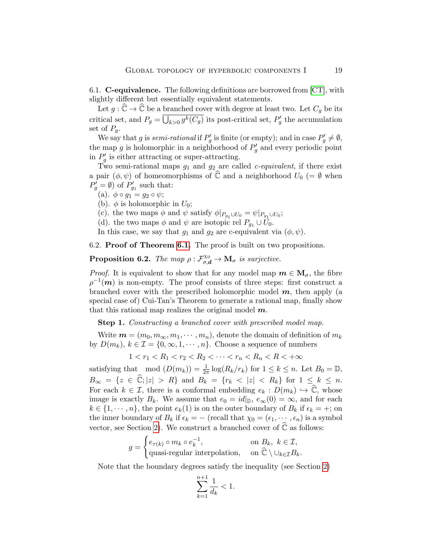6.1. **C-equivalence.** The following definitions are borrowed from  $[CT]$ , with slightly different but essentially equivalent statements.

Let  $g : \widehat{\mathbb{C}} \to \widehat{\mathbb{C}}$  be a branched cover with degree at least two. Let  $C_q$  be its critical set, and  $P_g = \overline{\bigcup_{k>0} g^k(C_g)}$  its post-critical set,  $P'_g$  the accumulation set of  $P_a$ .

We say that g is semi-rational if  $P'_g$  is finite (or empty); and in case  $P'_g \neq \emptyset$ , the map g is holomorphic in a neighborhood of  $P'_{g}$  and every periodic point in  $P'_{g}$  is either attracting or super-attracting.

Two semi-rational maps  $g_1$  and  $g_2$  are called *c*-equivalent, if there exist a pair  $(\phi, \psi)$  of homeomorphisms of  $\widehat{\mathbb{C}}$  and a neighborhood  $U_0$  (=  $\emptyset$  when  $P'_{g} = \emptyset$  of  $P'_{g_1}$  such that:

(a). 
$$
\phi \circ g_1 = g_2 \circ \psi
$$
;

(b).  $\phi$  is holomorphic in  $U_0$ ;

(c). the two maps  $\phi$  and  $\psi$  satisfy  $\phi|_{P_{g_1} \cup U_0} = \psi|_{P_{g_1} \cup U_0}$ ;

(d). the two maps  $\phi$  and  $\psi$  are isotopic rel  $P_{g_1} \cup U_0$ .

In this case, we say that  $g_1$  and  $g_2$  are c-equivalent via  $(\phi, \psi)$ .

6.2. Proof of Theorem [6.1.](#page-17-2) The proof is built on two propositions.

<span id="page-18-0"></span>**Proposition 6.2.** The map  $\rho : \mathcal{F}_{\sigma,d}^{\chi_0} \to \mathbf{M}_{\sigma}$  is surjective.

*Proof.* It is equivalent to show that for any model map  $m \in M_{\sigma}$ , the fibre  $\rho^{-1}(\boldsymbol{m})$  is non-empty. The proof consists of three steps: first construct a branched cover with the prescribed holomorphic model  $m$ , then apply (a special case of) Cui-Tan's Theorem to generate a rational map, finally show that this rational map realizes the original model  $m$ .

Step 1. Constructing a branched cover with prescribed model map.

Write  $\mathbf{m} = (m_0, m_\infty, m_1, \cdots, m_n)$ , denote the domain of definition of  $m_k$ by  $D(m_k)$ ,  $k \in \mathcal{I} = \{0, \infty, 1, \cdots, n\}$ . Choose a sequence of numbers

$$
1 < r_1 < R_1 < r_2 < R_2 < \cdots < r_n < R_n < R < +\infty
$$

satisfying that mod  $(D(m_k)) = \frac{1}{2\pi} \log(R_k/r_k)$  for  $1 \leq k \leq n$ . Let  $B_0 = \mathbb{D}$ ,  $B_{\infty} = \{z \in \mathbb{\widehat{C}}; |z| > R\}$  and  $B_k = \{r_k < |z| < R_k\}$  for  $1 \leq k \leq n$ . For each  $k \in \mathcal{I}$ , there is a conformal embedding  $e_k : D(m_k) \hookrightarrow \mathbb{C}$ , whose image is exactly  $B_k$ . We assume that  $e_0 = id|_{\mathbb{D}}$ ,  $e_{\infty}(0) = \infty$ , and for each  $k \in \{1, \dots, n\}$ , the point  $e_k(1)$  is on the outer boundary of  $B_k$  if  $\epsilon_k = +$ ; on the inner boundary of  $B_k$  if  $\epsilon_k = -$  (recall that  $\chi_0 = (\epsilon_1, \dots, \epsilon_n)$  is a symbol vector, see Section [2\)](#page-4-0). We construct a branched cover of  $\widehat{\mathbb{C}}$  as follows:

$$
g = \begin{cases} e_{\tau(k)} \circ m_k \circ e_k^{-1}, & \text{on } B_k, \ k \in \mathcal{I}, \\ \text{quasi-regular interpolation}, & \text{on } \widehat{\mathbb{C}} \setminus \cup_{k \in \mathcal{I}} B_k. \end{cases}
$$

Note that the boundary degrees satisfy the inequality (see Section [2\)](#page-4-0)

$$
\sum_{k=1}^{n+1} \frac{1}{d_k} < 1.
$$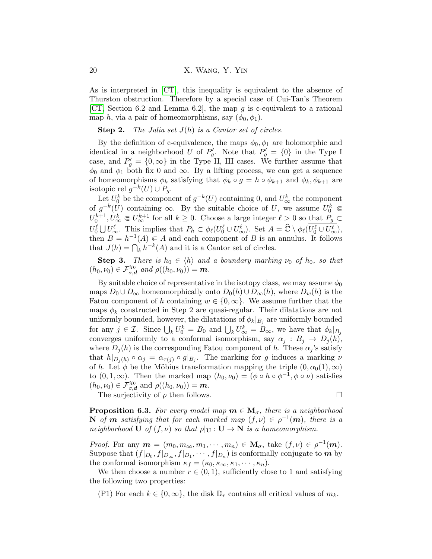As is interpreted in [\[CT\]](#page-33-19), this inequality is equivalent to the absence of Thurston obstruction. Therefore by a special case of Cui-Tan's Theorem [\[CT,](#page-33-19) Section 6.2 and Lemma 6.2], the map g is c-equivalent to a rational map h, via a pair of homeomorphisms, say  $(\phi_0, \phi_1)$ .

**Step 2.** The Julia set  $J(h)$  is a Cantor set of circles.

By the definition of c-equivalence, the maps  $\phi_0$ ,  $\phi_1$  are holomorphic and identical in a neighborhood U of  $P'_g$ . Note that  $P'_g = \{0\}$  in the Type I case, and  $P'_{g} = \{0, \infty\}$  in the Type II, III cases. We further assume that  $\phi_0$  and  $\phi_1$  both fix 0 and  $\infty$ . By a lifting process, we can get a sequence of homeomorphisms  $\phi_k$  satisfying that  $\phi_k \circ g = h \circ \phi_{k+1}$  and  $\phi_k, \phi_{k+1}$  are isotopic rel  $g^{-k}(U) \cup P_g$ .

Let  $U_0^k$  be the component of  $g^{-k}(U)$  containing 0, and  $U_\infty^k$  the component of  $g^{-k}(U)$  containing  $\infty$ . By the suitable choice of U, we assume  $U_0^k \in$  $U_0^{k+1}, U_\infty^k \in U_\infty^{k+1}$  for all  $k \geq 0$ . Choose a large integer  $\ell > 0$  so that  $P_g \subset$  $U_0^{\ell} \cup U_{\infty}^{\ell}$ . This implies that  $P_h \subset \phi_{\ell}(U_0^{\ell} \cup U_{\infty}^{\ell})$ . Set  $A = \widehat{\mathbb{C}} \setminus \phi_{\ell}(\overline{U_0^{\ell} \cup U_{\infty}^{\ell}})$ , then  $B = h^{-1}(A) \in A$  and each component of B is an annulus. It follows that  $J(h) = \bigcap_k h^{-k}(A)$  and it is a Cantor set of circles.

**Step 3.** There is  $h_0 \in \langle h \rangle$  and a boundary marking  $\nu_0$  of  $h_0$ , so that  $(h_0, \nu_0) \in \mathcal{F}_{\sigma, \mathbf{d}}^{X_0}$  and  $\rho((h_0, \nu_0)) = \mathbf{m}$ .

By suitable choice of representative in the isotopy class, we may assume  $\phi_0$ maps  $D_0 \cup D_\infty$  homeomorphically onto  $D_0(h) \cup D_\infty(h)$ , where  $D_w(h)$  is the Fatou component of h containing  $w \in \{0, \infty\}$ . We assume further that the maps  $\phi_k$  constructed in Step 2 are quasi-regular. Their dilatations are not uniformly bounded, however, the dilatations of  $\phi_k|_{B_j}$  are uniformly bounded for any  $j \in \mathcal{I}$ . Since  $\bigcup_k U_0^k = B_0$  and  $\bigcup_k U_\infty^k = B_\infty$ , we have that  $\phi_k|_{B_j}$ converges uniformly to a conformal isomorphism, say  $\alpha_j : B_j \to D_j(h)$ , where  $D_j(h)$  is the corresponding Fatou component of h. These  $\alpha_j$ 's satisfy that  $h|_{D_j(h)} \circ \alpha_j = \alpha_{\tau(j)} \circ g|_{B_j}$ . The marking for g induces a marking  $\nu$ of h. Let  $\phi$  be the Möbius transformation mapping the triple  $(0, \alpha_0(1), \infty)$ to  $(0, 1, \infty)$ . Then the marked map  $(h_0, \nu_0) = (\phi \circ h \circ \phi^{-1}, \phi \circ \nu)$  satisfies  $(h_0, \nu_0) \in \mathcal{F}_{\sigma, \mathbf{d}}^{X_0}$  and  $\rho((h_0, \nu_0)) = \mathbf{m}$ .

The surjectivity of  $\rho$  then follows.

**Proposition 6.3.** For every model map  $m \in M_{\sigma}$ , there is a neighborhood **N** of **m** satisfying that for each marked map  $(f, \nu) \in \rho^{-1}(\mathbf{m})$ , there is a neighborhood **U** of  $(f, \nu)$  so that  $\rho|_{\mathbf{U}} : \mathbf{U} \to \mathbf{N}$  is a homeomorphism.

*Proof.* For any  $m = (m_0, m_\infty, m_1, \cdots, m_n) \in \mathbf{M}_{\sigma}$ , take  $(f, \nu) \in \rho^{-1}(m)$ . Suppose that  $(f|_{D_0}, f|_{D_{\infty}}, f|_{D_1}, \cdots, f|_{D_n})$  is conformally conjugate to  $m$  by the conformal isomorphism  $\kappa_f = (\kappa_0, \kappa_\infty, \kappa_1, \cdots, \kappa_n).$ 

We then choose a number  $r \in (0,1)$ , sufficiently close to 1 and satisfying the following two properties:

(P1) For each  $k \in \{0, \infty\}$ , the disk  $\mathbb{D}_r$  contains all critical values of  $m_k$ .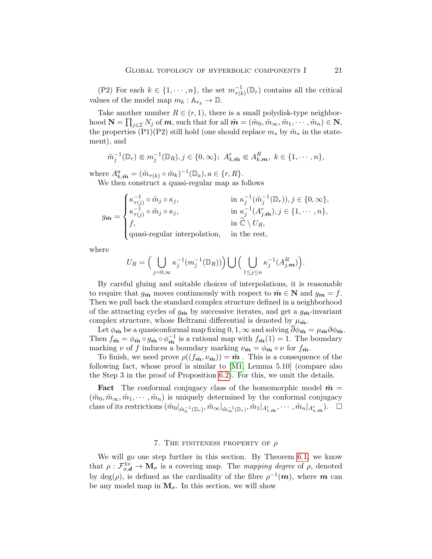(P2) For each  $k \in \{1, \dots, n\}$ , the set  $m_{\tau(k)}^{-1}(\mathbb{D}_r)$  contains all the critical values of the model map  $m_k : \mathbb{A}_{r_k} \to \mathbb{D}$ .

Take another number  $R \in (r, 1)$ , there is a small polydisk-type neighborhood  $\mathbf{N} = \prod_{j \in \mathcal{I}} N_j$  of  $\boldsymbol{m}$ , such that for all  $\tilde{\boldsymbol{m}} = (\tilde{m}_0, \tilde{m}_{\infty}, \tilde{m}_1, \cdots, \tilde{m}_n) \in \mathbf{N}$ , the properties (P1)(P2) still hold (one should replace  $m_*$  by  $\tilde{m}_*$  in the statement), and

$$
\tilde{m}_j^{-1}(\mathbb{D}_r) \in m_j^{-1}(\mathbb{D}_R), j \in \{0, \infty\}; A_{k,m}^r \in A_{k,m}^R, k \in \{1, \cdots, n\},\
$$

where  $A_{k,\tilde{\boldsymbol{m}}}^a = (\tilde{m}_{\tau(k)} \circ \tilde{m}_k)^{-1}(\mathbb{D}_a), a \in \{r, R\}.$ 

We then construct a quasi-regular map as follows

$$
g_{\tilde{\mathbf{m}}} = \begin{cases} \kappa_{\tau(j)}^{-1} \circ \tilde{m}_j \circ \kappa_j, & \text{in } \kappa_j^{-1}(\tilde{m}_j^{-1}(\mathbb{D}_r)), j \in \{0, \infty\}, \\ \kappa_{\tau(j)}^{-1} \circ \tilde{m}_j \circ \kappa_j, & \text{in } \kappa_j^{-1}(A_{j,\tilde{\mathbf{m}}}^r), j \in \{1, \cdots, n\}, \\ f, & \text{in } \tilde{\mathbb{C}} \setminus U_R, \\ \text{quasi-regular interpolation,} & \text{in the rest,} \end{cases}
$$

where

$$
U_R = \Big(\bigcup_{j=0,\infty} \kappa_j^{-1}(m_j^{-1}(\mathbb{D}_R))\Big) \bigcup \Big(\bigcup_{1 \le j \le n} \kappa_j^{-1}(A_{j,m}^R)\Big).
$$

By careful gluing and suitable choices of interpolations, it is reasonable to require that  $g_{\tilde{m}}$  moves continuously with respect to  $\tilde{m} \in \mathbb{N}$  and  $g_m = f$ . Then we pull back the standard complex structure defined in a neighborhood of the attracting cycles of  $g_{\tilde{m}}$  by successive iterates, and get a  $g_{\tilde{m}}$ -invariant complex structure, whose Beltrami differential is denoted by  $\mu_{\tilde{m}}$ .

Let  $\phi_{\tilde{m}}$  be a quasiconformal map fixing  $0, 1, \infty$  and solving  $\overline{\partial} \phi_{\tilde{m}} = \mu_{\tilde{m}} \partial \phi_{\tilde{m}}$ . Then  $f_{\tilde{\boldsymbol{m}}} = \phi_{\tilde{\boldsymbol{m}}} \circ g_{\tilde{\boldsymbol{m}}} \circ \phi_{\tilde{\boldsymbol{m}}}^{-1}$  $\tilde{\vec{m}}$  is a rational map with  $f_{\tilde{\mathbf{m}}}(1) = 1$ . The boundary marking  $\nu$  of f induces a boundary marking  $\nu_{\tilde{m}} = \phi_{\tilde{m}} \circ \nu$  for  $f_{\tilde{m}}$ .

To finish, we need prove  $\rho((f_{\tilde{\boldsymbol{m}}},\nu_{\tilde{\boldsymbol{m}}})) = \tilde{\boldsymbol{m}}$ . This is a consequence of the following fact, whose proof is similar to [\[M1,](#page-34-0) Lemma 5.10] (compare also the Step 3 in the proof of Proposition [6.2\)](#page-18-0). For this, we omit the details.

**Fact** The conformal conjugacy class of the homomorphic model  $\tilde{m} =$  $(\tilde{m}_0, \tilde{m}_{\infty}, \tilde{m}_1, \cdots, \tilde{m}_n)$  is uniquely determined by the conformal conjugacy  $\text{class of its restrictions } (\tilde{m}_0|_{\tilde{m}_0^{-1}(\mathbb{D}_r)}, \tilde{m}_{\infty}|_{\tilde{m}_{\infty}^{-1}(\mathbb{D}_r)}, \tilde{m}_1|_{A_{1,\tilde{\boldsymbol{m}}}^r}, \cdots, \tilde{m}_n|_{A_{n,\tilde{\boldsymbol{m}}}^r}). \quad \Box$ 

### 7. THE FINITENESS PROPERTY OF  $\rho$

<span id="page-20-0"></span>We will go one step further in this section. By Theorem [6.1,](#page-17-2) we know that  $\rho: \mathcal{F}_{\sigma,d}^{\chi_0} \to \mathbf{M}_{\sigma}$  is a covering map. The *mapping degree* of  $\rho$ , denoted by  $deg(\rho)$ , is defined as the cardinality of the fibre  $\rho^{-1}(\mathbf{m})$ , where m can be any model map in  $M_{\sigma}$ . In this section, we will show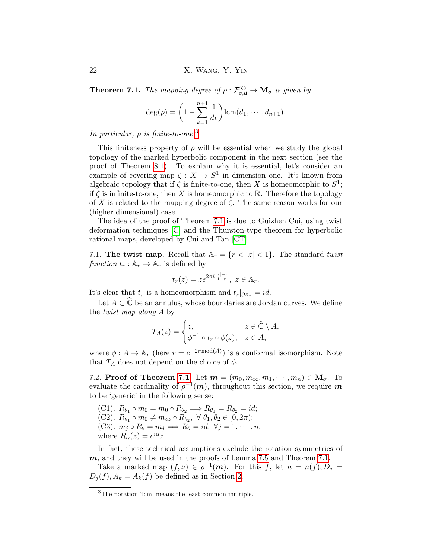22 X. Wang, Y. Yin

<span id="page-21-0"></span>**Theorem 7.1.** The mapping degree of  $\rho : \mathcal{F}_{\sigma,d}^{\chi_0} \to \mathbf{M}_{\sigma}$  is given by

$$
\deg(\rho) = \left(1 - \sum_{k=1}^{n+1} \frac{1}{d_k}\right) \operatorname{lcm}(d_1, \cdots, d_{n+1}).
$$

In particular,  $\rho$  is finite-to-one.<sup>[3](#page-21-1)</sup>

This finiteness property of  $\rho$  will be essential when we study the global topology of the marked hyperbolic component in the next section (see the proof of Theorem [8.1\)](#page-25-1). To explain why it is essential, let's consider an example of covering map  $\zeta: X \to S^1$  in dimension one. It's known from algebraic topology that if  $\zeta$  is finite-to-one, then X is homeomorphic to  $S^1$ ; if  $\zeta$  is infinite-to-one, then X is homeomorphic to R. Therefore the topology of X is related to the mapping degree of  $\zeta$ . The same reason works for our (higher dimensional) case.

The idea of the proof of Theorem [7.1](#page-21-0) is due to Guizhen Cui, using twist deformation techniques [\[C\]](#page-33-14) and the Thurston-type theorem for hyperbolic rational maps, developed by Cui and Tan [\[CT\]](#page-33-19).

7.1. The twist map. Recall that  $A_r = \{r < |z| < 1\}$ . The standard twist function  $t_r : \mathbb{A}_r \to \mathbb{A}_r$  is defined by

$$
t_r(z) = z e^{2\pi i \frac{|z|-r}{1-r}}, \ z \in \mathbb{A}_r.
$$

It's clear that  $t_r$  is a homeomorphism and  $t_r|_{\partial \mathbb{A}_r} = id$ .

Let  $A \subset \widehat{\mathbb{C}}$  be an annulus, whose boundaries are Jordan curves. We define the twist map along A by

$$
T_A(z) = \begin{cases} z, & z \in \widehat{\mathbb{C}} \setminus A, \\ \phi^{-1} \circ t_r \circ \phi(z), & z \in A, \end{cases}
$$

where  $\phi: A \to \mathbb{A}_r$  (here  $r = e^{-2\pi \text{mod}(A)}$ ) is a conformal isomorphism. Note that  $T_A$  does not depend on the choice of  $\phi$ .

7.2. Proof of Theorem [7.1.](#page-21-0) Let  $m = (m_0, m_\infty, m_1, \dots, m_n) \in M_\sigma$ . To evaluate the cardinality of  $\rho^{-1}(\boldsymbol{m})$ , throughout this section, we require  $\boldsymbol{m}$ to be 'generic' in the following sense:

(C1).  $R_{\theta_1} \circ m_0 = m_0 \circ R_{\theta_2} \Longrightarrow R_{\theta_1} = R_{\theta_2} = id;$ (C2).  $R_{\theta_1} \circ m_0 \neq m_\infty \circ R_{\theta_2}, \ \forall \ \theta_1, \theta_2 \in [0, 2\pi);$ (C3).  $m_j \circ R_\theta = m_j \Longrightarrow R_\theta = id, \ \forall j = 1, \cdots, n,$ where  $R_{\alpha}(z) = e^{i\alpha}z$ .

In fact, these technical assumptions exclude the rotation symmetries of  $m$ , and they will be used in the proofs of Lemma [7.5](#page-23-0) and Theorem [7.1.](#page-21-0)

Take a marked map  $(f, \nu) \in \rho^{-1}(m)$ . For this f, let  $n = n(f), D_j =$  $D_i(f), A_k = A_k(f)$  be defined as in Section [2.](#page-4-0)

<span id="page-21-1"></span><sup>3</sup>The notation 'lcm' means the least common multiple.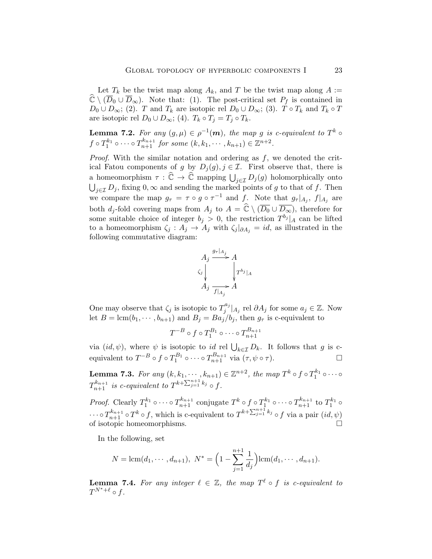Let  $T_k$  be the twist map along  $A_k$ , and T be the twist map along  $A :=$  $\widehat{\mathbb{C}} \setminus (\overline{D}_0 \cup \overline{D}_{\infty})$ . Note that: (1). The post-critical set  $P_f$  is contained in  $D_0 \cup D_{\infty}$ ; (2). T and  $T_k$  are isotopic rel  $D_0 \cup D_{\infty}$ ; (3). T  $\circ T_k$  and  $T_k \circ T$ are isotopic rel  $D_0 \cup D_\infty$ ; (4).  $T_k \circ T_j = T_j \circ T_k$ .

**Lemma 7.2.** For any  $(g,\mu) \in \rho^{-1}(m)$ , the map g is c-equivalent to  $T^k \circ$  $f \circ T_1^{k_1} \circ \cdots \circ T_{n+1}^{k_{n+1}}$  for some  $(k, k_1, \dots, k_{n+1}) \in \mathbb{Z}^{n+2}$ .

*Proof.* With the similar notation and ordering as  $f$ , we denoted the critical Fatou components of g by  $D_i(g)$ ,  $j \in \mathcal{I}$ . First observe that, there is a homeomorphism  $\tau : \widehat{\mathbb{C}} \to \widehat{\mathbb{C}}$  mapping  $\bigcup_{j \in \mathcal{I}} D_j(g)$  holomorphically onto  $\bigcup_{j\in\mathcal{I}} D_j$ , fixing  $0,\infty$  and sending the marked points of g to that of f. Then we compare the map  $g_{\tau} = \tau \circ g \circ \tau^{-1}$  and f. Note that  $g_{\tau}|_{A_j}$ ,  $f|_{A_j}$  are both  $d_j$ -fold covering maps from  $A_j$  to  $A = \widehat{\mathbb{C}} \setminus (\overline{D_0} \cup \overline{D_{\infty}})$ , therefore for some suitable choice of integer  $b_j > 0$ , the restriction  $T^{b_j} |_{A}$  can be lifted to a homeomorphism  $\zeta_j : A_j \to A_j$  with  $\zeta_j |_{\partial A_j} = id$ , as illustrated in the following commutative diagram:



One may observe that  $\zeta_j$  is isotopic to  $T_j^{a_j}$  $j^{a_j}|_{A_j}$  rel  $\partial A_j$  for some  $a_j \in \mathbb{Z}$ . Now let  $B = \text{lcm}(b_1, \dots, b_{n+1})$  and  $B_i = Ba_i/b_i$ , then  $g_{\tau}$  is c-equivalent to

$$
T^{-B}\circ f\circ T_1^{B_1}\circ\cdots\circ T_{n+1}^{B_{n+1}}
$$

via  $(id, \psi)$ , where  $\psi$  is isotopic to  $id$  rel  $\bigcup_{k \in \mathcal{I}} D_k$ . It follows that g is cequivalent to  $T^{-B} \circ f \circ T_1^{B_1} \circ \cdots \circ T_{n+1}^{B_{n+1}}$  via  $(\tau, \psi \circ \tau)$ .

<span id="page-22-0"></span>**Lemma 7.3.** For any  $(k, k_1, \dots, k_{n+1}) \in \mathbb{Z}^{n+2}$ , the map  $T^k \circ f \circ T_1^{k_1} \circ \dots \circ$  $T^{k_{n+1}}_{n+1}$  is c-equivalent to  $T^{k+\sum_{j=1}^{n+1} k_j} \circ f$ .

*Proof.* Clearly  $T_1^{k_1} \circ \cdots \circ T_{n+1}^{k_{n+1}}$  conjugate  $T^k \circ f \circ T_1^{k_1} \circ \cdots \circ T_{n+1}^{k_{n+1}}$  to  $T_1^{k_1} \circ$  $\cdots \circ T_{n+1}^{k_{n+1}} \circ T^k \circ f$ , which is c-equivalent to  $T^{k+\sum_{j=1}^{n+1} k_j} \circ f$  via a pair  $(id, \psi)$ of isotopic homeomorphisms.

In the following, set

$$
N = \text{lcm}(d_1, \cdots, d_{n+1}), \ N^* = \left(1 - \sum_{j=1}^{n+1} \frac{1}{d_j}\right) \text{lcm}(d_1, \cdots, d_{n+1}).
$$

**Lemma 7.4.** For any integer  $\ell \in \mathbb{Z}$ , the map  $T^{\ell} \circ f$  is c-equivalent to  $T^{N^*+\ell} \circ f.$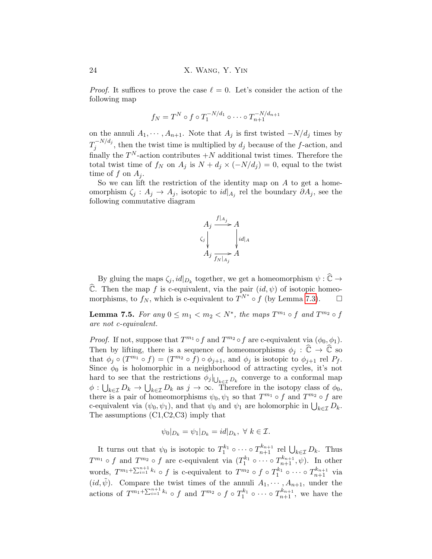*Proof.* It suffices to prove the case  $\ell = 0$ . Let's consider the action of the following map

$$
f_N = T^N \circ f \circ T_1^{-N/d_1} \circ \cdots \circ T_{n+1}^{-N/d_{n+1}}
$$

on the annuli  $A_1, \dots, A_{n+1}$ . Note that  $A_j$  is first twisted  $-N/d_j$  times by  $T_i^{-N/d_j}$  $j_j^{-N/d_j}$ , then the twist time is multiplied by  $d_j$  because of the f-action, and finally the  $T^N$ -action contributes  $+N$  additional twist times. Therefore the total twist time of  $f_N$  on  $A_j$  is  $N + d_j \times (-N/d_j) = 0$ , equal to the twist time of f on  $A_i$ .

So we can lift the restriction of the identity map on  $A$  to get a homeomorphism  $\zeta_j$  :  $A_j \to A_j$ , isotopic to  $id|_{A_j}$  rel the boundary  $\partial A_j$ , see the following commutative diagram



By gluing the maps  $\zeta_j$ ,  $id|_{D_k}$  together, we get a homeomorphism  $\psi : \widehat{\mathbb{C}} \to$  $\hat{\mathbb{C}}$ . Then the map f is c-equivalent, via the pair  $(id, \psi)$  of isotopic homeo-<br>morphisms to  $f_N$  which is c-equivalent to  $T^{N^*} \circ f$  (by Lemma 7.3) morphisms, to  $f_N$ , which is c-equivalent to  $T^{N^*} \circ f$  (by Lemma [7.3\)](#page-22-0).  $\Box$ 

<span id="page-23-0"></span>**Lemma 7.5.** For any  $0 \le m_1 < m_2 < N^*$ , the maps  $T^{m_1} \circ f$  and  $T^{m_2} \circ f$ are not c-equivalent.

*Proof.* If not, suppose that  $T^{m_1} \circ f$  and  $T^{m_2} \circ f$  are c-equivalent via  $(\phi_0, \phi_1)$ . Then by lifting, there is a sequence of homeomorphisms  $\phi_i : \widehat{\mathbb{C}} \to \widehat{\mathbb{C}}$  so that  $\phi_j \circ (T^{m_1} \circ f) = (T^{m_2} \circ f) \circ \phi_{j+1}$ , and  $\phi_j$  is isotopic to  $\phi_{j+1}$  rel  $P_f$ . Since  $\phi_0$  is holomorphic in a neighborhood of attracting cycles, it's not hard to see that the restrictions  $\phi_j|_{\bigcup_{k \in \mathcal{I}} D_k}$  converge to a conformal map  $\phi: \bigcup_{k\in\mathcal{I}} D_k \to \bigcup_{k\in\mathcal{I}} D_k$  as  $j\to\infty$ . Therefore in the isotopy class of  $\phi_0$ , there is a pair of homeomorphisms  $\psi_0, \psi_1$  so that  $T^{m_1} \circ f$  and  $T^{m_2} \circ f$  are c-equivalent via  $(\psi_0, \psi_1)$ , and that  $\psi_0$  and  $\psi_1$  are holomorphic in  $\bigcup_{k \in \mathcal{I}} D_k$ . The assumptions (C1,C2,C3) imply that

$$
\psi_0|_{D_k} = \psi_1|_{D_k} = id|_{D_k}, \ \forall \ k \in \mathcal{I}.
$$

It turns out that  $\psi_0$  is isotopic to  $T_1^{k_1} \circ \cdots \circ T_{n+1}^{k_{n+1}}$  rel  $\bigcup_{k \in \mathcal{I}} D_k$ . Thus  $T^{m_1} \circ f$  and  $T^{m_2} \circ f$  are c-equivalent via  $(T_1^{k_1} \circ \cdots \circ T_{n+1}^{k_{n+1}}, \psi)$ . In other words,  $T^{m_1+\sum_{i=1}^{n+1}k_i} \circ f$  is c-equivalent to  $T^{m_2} \circ f \circ T_1^{k_1} \circ \cdots \circ T_{n+1}^{k_{n+1}}$  via  $(id, \tilde{\psi})$ . Compare the twist times of the annuli  $A_1, \dots, A_{n+1}$ , under the actions of  $T^{m_1+\sum_{i=1}^{n+1}k_i} \circ f$  and  $T^{m_2} \circ f \circ T_1^{k_1} \circ \cdots \circ T_{n+1}^{k_{n+1}}$ , we have the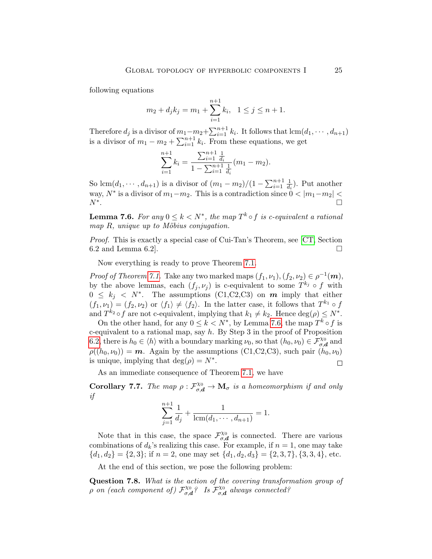following equations

$$
m_2 + d_j k_j = m_1 + \sum_{i=1}^{n+1} k_i, \quad 1 \le j \le n+1.
$$

Therefore  $d_j$  is a divisor of  $m_1 - m_2 + \sum_{i=1}^{n+1} k_i$ . It follows that  $lcm(d_1, \dots, d_{n+1})$ is a divisor of  $m_1 - m_2 + \sum_{i=1}^{n+1} k_i$ . From these equations, we get

$$
\sum_{i=1}^{n+1} k_i = \frac{\sum_{i=1}^{n+1} \frac{1}{d_i}}{1 - \sum_{i=1}^{n+1} \frac{1}{d_i}} (m_1 - m_2).
$$

So lcm $(d_1, \dots, d_{n+1})$  is a divisor of  $(m_1 - m_2)/(1 - \sum_{i=1}^{n+1} \frac{1}{d_i})$  $\frac{1}{d_i}$ ). Put another way,  $N^*$  is a divisor of  $m_1 - m_2$ . This is a contradiction since  $0 < |m_1 - m_2|$  $N^*$ . .<br>1980 - Paul Barbara, politikar eta biztanleria (h. 1900).<br>1980 - Johann John Barbara, politikar eta biztanleria (h. 1900).

<span id="page-24-0"></span>**Lemma 7.6.** For any  $0 \leq k < N^*$ , the map  $T^k \circ f$  is c-equivalent a rational map  $R$ , unique up to Möbius conjugation.

Proof. This is exactly a special case of Cui-Tan's Theorem, see [\[CT,](#page-33-19) Section 6.2 and Lemma 6.2.

Now everything is ready to prove Theorem [7.1.](#page-21-0)

*Proof of Theorem [7.1.](#page-21-0)* Take any two marked maps  $(f_1, \nu_1), (f_2, \nu_2) \in \rho^{-1}(m)$ , by the above lemmas, each  $(f_j, \nu_j)$  is c-equivalent to some  $T^{k_j} \circ f$  with  $0 \leq k_j \leq N^*$ . The assumptions (C1,C2,C3) on **m** imply that either  $(f_1, \nu_1) = (f_2, \nu_2)$  or  $\langle f_1 \rangle \neq \langle f_2 \rangle$ . In the latter case, it follows that  $T^{k_1} \circ f$ and  $T^{k_2} \circ f$  are not c-equivalent, implying that  $k_1 \neq k_2$ . Hence  $\deg(\rho) \leq N^*$ .

On the other hand, for any  $0 \leq k < N^*$ , by Lemma [7.6,](#page-24-0) the map  $T^k \circ f$  is c-equivalent to a rational map, say  $h$ . By Step 3 in the proof of Proposition [6.2,](#page-18-0) there is  $h_0 \in \langle h \rangle$  with a boundary marking  $\nu_0$ , so that  $(h_0, \nu_0) \in \mathcal{F}_{\sigma,d}^{\chi_0}$  and  $\rho((h_0, \nu_0)) = \boldsymbol{m}$ . Again by the assumptions (C1,C2,C3), such pair  $(h_0, \nu_0)$ is unique, implying that  $\deg(\rho) = N^*$ .  $\Box$ 

As an immediate consequence of Theorem [7.1,](#page-21-0) we have

<span id="page-24-1"></span>Corollary 7.7. The map  $\rho : \mathcal{F}_{\sigma,d}^{\chi_0} \to \mathbf{M}_{\sigma}$  is a homeomorphism if and only if

$$
\sum_{j=1}^{n+1} \frac{1}{d_j} + \frac{1}{\text{lcm}(d_1, \cdots, d_{n+1})} = 1.
$$

Note that in this case, the space  $\mathcal{F}_{\sigma}^{\chi_0}$  $\chi_0^{\chi_0}$  is connected. There are various combinations of  $d_k$ 's realizing this case. For example, if  $n = 1$ , one may take  ${d_1, d_2} = {2, 3}$ ; if  $n = 2$ , one may set  ${d_1, d_2, d_3} = {2, 3, 7}$ ,  ${3, 3, 4}$ , etc.

At the end of this section, we pose the following problem:

Question 7.8. What is the action of the covering transformation group of  $ρ$  on (each component of)  $\mathcal{F}_{σ}^{\chi_0}$  $\mathcal{L}_{\sigma,\boldsymbol{d}}^{\chi_0}$ ? Is  $\mathcal{F}_{\sigma,\boldsymbol{c}}^{\chi_0}$  $\alpha_{\sigma,d}^{\chi_0}$  always connected?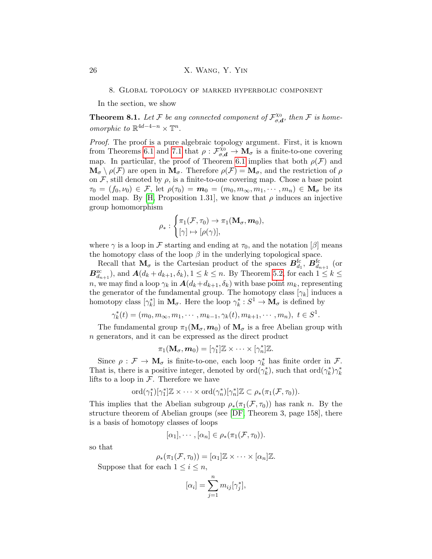8. Global topology of marked hyperbolic component

<span id="page-25-0"></span>In the section, we show

<span id="page-25-1"></span>**Theorem 8.1.** Let F be any connected component of  $\mathcal{F}_{\sigma,\epsilon}^{\chi_0}$  $\mathcal{L}_{\sigma,\boldsymbol{d}}^{\chi_0},$  then  ${\cal F}$  is homeomorphic to  $\mathbb{R}^{4d-4-n} \times \mathbb{T}^n$ .

Proof. The proof is a pure algebraic topology argument. First, it is known from Theorems [6.1](#page-17-2) and [7.1](#page-21-0) that  $\rho : \tilde{\mathcal{F}}_{\sigma,d}^{\chi_0} \to M_\sigma$  is a finite-to-one covering map. In particular, the proof of Theorem [6.1](#page-17-2) implies that both  $\rho(\mathcal{F})$  and  $\mathbf{M}_{\sigma} \setminus \rho(\mathcal{F})$  are open in  $\mathbf{M}_{\sigma}$ . Therefore  $\rho(\mathcal{F}) = \mathbf{M}_{\sigma}$ , and the restriction of  $\rho$ on  $\mathcal F$ , still denoted by  $\rho$ , is a finite-to-one covering map. Chose a base point  $\tau_0 = (f_0, \nu_0) \in \mathcal{F}$ , let  $\rho(\tau_0) = \mathbf{m}_0 = (m_0, m_\infty, m_1, \dots, m_n) \in \mathbf{M}_\sigma$  be its model map. By [\[H,](#page-33-20) Proposition 1.31], we know that  $\rho$  induces an injective group homomorphism

$$
\rho_* : \begin{cases} \pi_1(\mathcal{F}, \tau_0) \to \pi_1(\mathbf{M}_{\sigma}, \mathbf{m}_0), \\ [\gamma] \mapsto [\rho(\gamma)], \end{cases}
$$

where  $\gamma$  is a loop in F starting and ending at  $\tau_0$ , and the notation [β] means the homotopy class of the loop  $\beta$  in the underlying topological space.

Recall that  $\mathbf{M}_{\sigma}$  is the Cartesian product of the spaces  $\boldsymbol{B}_{d_1}^{\text{fc}}, \boldsymbol{B}_{d_{n+1}}^{\text{fc}}$  (or  $B_{d_{n+1}}^{zc}$ ), and  $A(d_k + d_{k+1}, \delta_k)$ ,  $1 \leq k \leq n$ . By Theorem [5.2,](#page-16-0) for each  $1 \leq k \leq$ n, we may find a loop  $\gamma_k$  in  $\mathbf{A}(d_k+d_{k+1}, \delta_k)$  with base point  $m_k$ , representing the generator of the fundamental group. The homotopy class  $[\gamma_k]$  induces a homotopy class  $[\gamma_k^*]$  in  $M_\sigma$ . Here the loop  $\gamma_k^*: S^1 \to M_\sigma$  is defined by

$$
\gamma_k^*(t) = (m_0, m_\infty, m_1, \cdots, m_{k-1}, \gamma_k(t), m_{k+1}, \cdots, m_n), \ t \in S^1.
$$

The fundamental group  $\pi_1(\mathbf{M}_{\sigma},m_0)$  of  $\mathbf{M}_{\sigma}$  is a free Abelian group with n generators, and it can be expressed as the direct product

$$
\pi_1(\mathbf{M}_{\sigma}, \mathbf{m}_0) = [\gamma_1^*] \mathbb{Z} \times \cdots \times [\gamma_n^*] \mathbb{Z}.
$$

Since  $\rho : \mathcal{F} \to \mathbf{M}_{\sigma}$  is finite-to-one, each loop  $\gamma_k^*$  has finite order in  $\mathcal{F}$ . That is, there is a positive integer, denoted by  $\text{ord}(\gamma_k^*),$  such that  $\text{ord}(\gamma_k^*)\gamma_k^*$ lifts to a loop in  $\mathcal F$ . Therefore we have

$$
\mathrm{ord}(\gamma_1^*)[\gamma_1^*]\mathbb{Z} \times \cdots \times \mathrm{ord}(\gamma_n^*)[\gamma_n^*]\mathbb{Z} \subset \rho_*(\pi_1(\mathcal{F}, \tau_0)).
$$

This implies that the Abelian subgroup  $\rho_*(\pi_1(\mathcal{F}, \tau_0))$  has rank n. By the structure theorem of Abelian groups (see [\[DF,](#page-33-21) Theorem 3, page 158], there is a basis of homotopy classes of loops

$$
[\alpha_1], \cdots, [\alpha_n] \in \rho_*(\pi_1(\mathcal{F}, \tau_0)).
$$

so that

$$
\rho_*(\pi_1(\mathcal{F}, \tau_0)) = [\alpha_1] \mathbb{Z} \times \cdots \times [\alpha_n] \mathbb{Z}.
$$

Suppose that for each  $1 \leq i \leq n$ ,

$$
[\alpha_i] = \sum_{j=1}^n m_{ij} [\gamma_j^*],
$$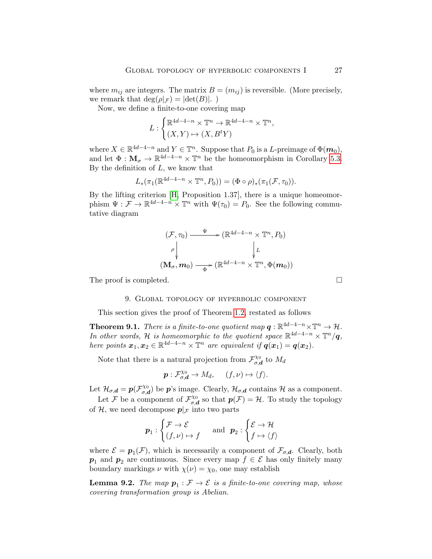where  $m_{ij}$  are integers. The matrix  $B = (m_{ij})$  is reversible. (More precisely, we remark that  $\deg(\rho|\mathcal{F}) = |\det(B)|$ .

Now, we define a finite-to-one covering map

$$
L: \begin{cases} \mathbb{R}^{4d-4-n} \times \mathbb{T}^n \to \mathbb{R}^{4d-4-n} \times \mathbb{T}^n, \\ (X,Y) \mapsto (X,B^tY) \end{cases}
$$

where  $X \in \mathbb{R}^{4d-4-n}$  and  $Y \in \mathbb{T}^n$ . Suppose that  $P_0$  is a L-preimage of  $\Phi(\mathbf{m}_0)$ , and let  $\Phi : \mathbf{M}_{\sigma} \to \mathbb{R}^{4d-4-n} \times \mathbb{T}^n$  be the homeomorphism in Corollary [5.3.](#page-17-0) By the definition of  $L$ , we know that

$$
L_*(\pi_1(\mathbb{R}^{4d-4-n} \times \mathbb{T}^n, P_0)) = (\Phi \circ \rho)_*(\pi_1(\mathcal{F}, \tau_0)).
$$

By the lifting criterion [\[H,](#page-33-20) Proposition 1.37], there is a unique homeomorphism  $\Psi: \mathcal{F} \to \mathbb{R}^{4d-4-n} \times \mathbb{T}^n$  with  $\Psi(\tau_0) = P_0$ . See the following commutative diagram

$$
(\mathcal{F}, \tau_0) \xrightarrow{\Psi} (\mathbb{R}^{4d-4-n} \times \mathbb{T}^n, P_0)
$$
  
\n
$$
\rho \downarrow L
$$
  
\n
$$
(\mathbf{M}_{\sigma}, \mathbf{m}_0) \xrightarrow{\Phi} (\mathbb{R}^{4d-4-n} \times \mathbb{T}^n, \Phi(\mathbf{m}_0))
$$

<span id="page-26-0"></span>The proof is completed.

## 9. Global topology of hyperbolic component

This section gives the proof of Theorem [1.2,](#page-2-0) restated as follows

<span id="page-26-1"></span>**Theorem 9.1.** There is a finite-to-one quotient map  $q : \mathbb{R}^{4d-4-n} \times \mathbb{T}^n \to \mathcal{H}$ . In other words, H is homeomorphic to the quotient space  $\mathbb{R}^{4d-4-n} \times \mathbb{T}^n/q$ , here points  $x_1, x_2 \in \mathbb{R}^{4d-4-n} \times \mathbb{T}^n$  are equivalent if  $q(x_1) = q(x_2)$ .

Note that there is a natural projection from  $\mathcal{F}_{\sigma}^{\chi_0}$  $\vec{\sigma, d}$  to  $M_d$ 

$$
\mathbf{p}:\mathcal{F}_{\sigma,\mathbf{d}}^{\chi_0}\to M_d,\quad (f,\nu)\mapsto \langle f\rangle.
$$

Let  $\mathcal{H}_{\sigma,d} = p(\mathcal{F}_{\sigma,d}^{\chi_0})$  $\mathcal{L}_{\sigma,d}^{(x)}$  be  $p$ 's image. Clearly,  $\mathcal{H}_{\sigma,d}$  contains  $\mathcal H$  as a component.

Let F be a component of  $\mathcal{F}_{\sigma}^{\chi_0}$  $\sigma_{\sigma,d}^{\chi_0}$  so that  $p(\mathcal{F}) = \mathcal{H}$ . To study the topology of H, we need decompose  $p|_{\mathcal{F}}$  into two parts

$$
\boldsymbol{p}_1 : \begin{cases} \mathcal{F} \to \mathcal{E} \\ (f, \nu) \mapsto f \end{cases} \quad \text{ and } \ \boldsymbol{p}_2 : \begin{cases} \mathcal{E} \to \mathcal{H} \\ f \mapsto \langle f \rangle \end{cases}
$$

where  $\mathcal{E} = p_1(\mathcal{F})$ , which is necessarily a component of  $\mathcal{F}_{\sigma,d}$ . Clearly, both  $p_1$  and  $p_2$  are continuous. Since every map  $f \in \mathcal{E}$  has only finitely many boundary markings  $\nu$  with  $\chi(\nu) = \chi_0$ , one may establish

<span id="page-26-2"></span>**Lemma 9.2.** The map  $p_1 : \mathcal{F} \to \mathcal{E}$  is a finite-to-one covering map, whose covering transformation group is Abelian.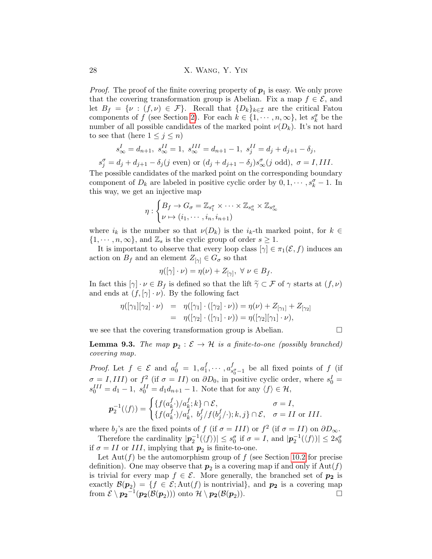28 X. Wang, Y. Yin

*Proof.* The proof of the finite covering property of  $p_1$  is easy. We only prove that the covering transformation group is Abelian. Fix a map  $f \in \mathcal{E}$ , and let  $B_f = \{v : (f,v) \in \mathcal{F}\}\$ . Recall that  $\{D_k\}_{k \in \mathcal{I}}$  are the critical Fatou components of f (see Section [2\)](#page-4-0). For each  $k \in \{1, \dots, n, \infty\}$ , let  $s_k^{\sigma}$  be the number of all possible candidates of the marked point  $\nu(D_k)$ . It's not hard to see that (here  $1 \leq j \leq n$ )

$$
s_{\infty}^{I} = d_{n+1}, \ s_{\infty}^{II} = 1, \ s_{\infty}^{III} = d_{n+1} - 1, \ s_{j}^{II} = d_{j} + d_{j+1} - \delta_{j},
$$
  

$$
s_{j}^{\sigma} = d_{j} + d_{j+1} - \delta_{j}(j \text{ even}) \text{ or } (d_{j} + d_{j+1} - \delta_{j})s_{\infty}^{\sigma}(j \text{ odd}), \ \sigma = I, III.
$$

The possible candidates of the marked point on the corresponding boundary component of  $D_k$  are labeled in positive cyclic order by  $0, 1, \dots, s_k^{\sigma} - 1$ . In this way, we get an injective map

$$
\eta: \begin{cases} B_f \to G_\sigma = \mathbb{Z}_{s_1^\sigma} \times \cdots \times \mathbb{Z}_{s_n^\sigma} \times \mathbb{Z}_{s_\infty^\sigma} \\ \nu \mapsto (i_1, \cdots, i_n, i_{n+1}) \end{cases}
$$

where  $i_k$  is the number so that  $\nu(D_k)$  is the  $i_k$ -th marked point, for  $k \in$  $\{1, \dots, n, \infty\}$ , and  $\mathbb{Z}_s$  is the cyclic group of order  $s \geq 1$ .

It is important to observe that every loop class  $[\gamma] \in \pi_1(\mathcal{E}, f)$  induces an action on  $B_f$  and an element  $Z_{[\gamma]} \in G_{\sigma}$  so that

$$
\eta([\gamma] \cdot \nu) = \eta(\nu) + Z_{[\gamma]}, \ \forall \ \nu \in B_f.
$$

In fact this  $[\gamma] \cdot \nu \in B_f$  is defined so that the lift  $\tilde{\gamma} \subset \mathcal{F}$  of  $\gamma$  starts at  $(f, \nu)$ and ends at  $(f, [\gamma] \cdot \nu)$ . By the following fact

$$
\eta([\gamma_1][\gamma_2] \cdot \nu) = \eta([\gamma_1] \cdot ([\gamma_2] \cdot \nu)) = \eta(\nu) + Z_{[\gamma_1]} + Z_{[\gamma_2]}
$$
  
= 
$$
\eta([\gamma_2] \cdot ([\gamma_1] \cdot \nu)) = \eta([\gamma_2][\gamma_1] \cdot \nu),
$$

we see that the covering transformation group is Abelian.  $\Box$ 

<span id="page-27-0"></span>**Lemma 9.3.** The map 
$$
p_2 : \mathcal{E} \to \mathcal{H}
$$
 is a finite-to-one (possibly branched) covering map.

*Proof.* Let  $f \in \mathcal{E}$  and  $a_0^f = 1, a_1^f$  $i_1^f, \cdots, a_s^f$  $\int_{s_0^- - 1}^{J}$  be all fixed points of f (if  $\sigma = I, III$ ) or  $f^2$  (if  $\sigma = II$ ) on  $\partial D_0$ , in positive cyclic order, where  $s_0^I =$  $s_0^{III} = d_1 - 1$ ,  $s_0^{II} = d_1 d_{n+1} - 1$ . Note that for any  $\langle f \rangle \in \mathcal{H}$ ,

$$
\mathbf{p}_2^{-1}(\langle f \rangle) = \begin{cases} \{f(a_k^f \cdot)/a_k^f; k\} \cap \mathcal{E}, & \sigma = I, \\ \{f(a_k^f \cdot)/a_k^f, b_j^f/f(b_j^f/\cdot); k, j\} \cap \mathcal{E}, & \sigma = II \text{ or } III. \end{cases}
$$

where  $b_j$ 's are the fixed points of f (if  $\sigma = III$ ) or  $f^2$  (if  $\sigma = II$ ) on  $\partial D_{\infty}$ .

Therefore the cardinality  $|\mathbf{p}_2^{-1}(\langle f \rangle)| \leq s_0^{\sigma}$  if  $\sigma = I$ , and  $|\mathbf{p}_2^{-1}(\langle f \rangle)| \leq 2s_0^{\sigma}$ if  $\sigma = II$  or III, implying that  $p_2$  is finite-to-one.

Let  $\text{Aut}(f)$  be the automorphism group of f (see Section [10.2](#page-29-0) for precise definition). One may observe that  $p_2$  is a covering map if and only if  $\text{Aut}(f)$ is trivial for every map  $f \in \mathcal{E}$ . More generally, the branched set of  $p_2$  is exactly  $\mathcal{B}(\mathbf{p}_2) = \{f \in \mathcal{E}; \text{Aut}(f) \text{ is nontrivial}\},\$ and  $\mathbf{p}_2$  is a covering map from  $\mathcal{E} \setminus {\bm{p_2}}^{-1}({\bm{p_2}}(\mathcal{B}({\bm{p}_2})))$  onto  $\mathcal{H} \setminus {\bm{p_2}}(\mathcal{B}({\bm{p}_2}$ )).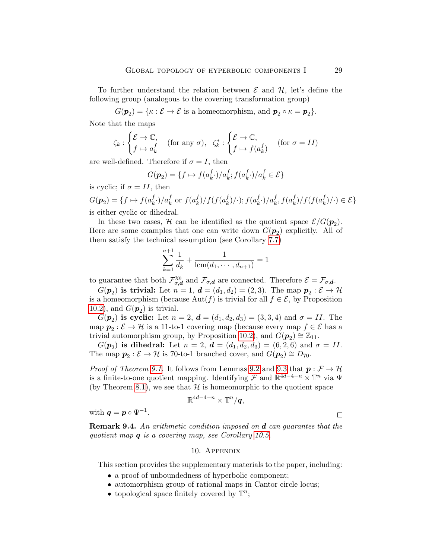To further understand the relation between  $\mathcal E$  and  $\mathcal H$ , let's define the following group (analogous to the covering transformation group)

 $G(\boldsymbol{p}_2) = \{\kappa : \mathcal{E} \to \mathcal{E} \text{ is a homeomorphism, and } \boldsymbol{p}_2 \circ \kappa = \boldsymbol{p}_2\}.$ 

Note that the maps

$$
\zeta_k : \begin{cases} \mathcal{E} \to \mathbb{C}, \\ f \mapsto a_k^f \end{cases} \text{ (for any } \sigma\text{)}, \ \ \zeta_k^* : \begin{cases} \mathcal{E} \to \mathbb{C}, \\ f \mapsto f(a_k^f) \end{cases} \text{ (for } \sigma = II)
$$

are well-defined. Therefore if  $\sigma = I$ , then

 $+1$ 

$$
G(\mathbf{p}_2) = \{ f \mapsto f(a_k^f \cdot)/a_k^f; f(a_k^f \cdot)/a_k^f \in \mathcal{E} \}
$$

is cyclic; if  $\sigma = II$ , then

 $G(\boldsymbol{p}_2) = \{f \mapsto f(a_k^f)$  $\int_k^f \cdot \big) \big/ a_k^f$  or  $f(a_k^f)$  $\binom{f}{k}/f(f(a_k^f$  $\binom{f}{k}/\cdot$ );  $f(a_k^f)$  $\int_k^f \cdot \bigl) / a_k^f, f(a_k^f)$  $\binom{f}{k}/f(f(a_k^f$  $\binom{J}{k}/\cdot$   $\in \mathcal{E}$ is either cyclic or dihedral.

In these two cases,  $H$  can be identified as the quotient space  $\mathcal{E}/G(p_2)$ . Here are some examples that one can write down  $G(\mathbf{p}_2)$  explicitly. All of them satisfy the technical assumption (see Corollary [7.7\)](#page-24-1)

$$
\sum_{k=1}^{n+1} \frac{1}{d_k} + \frac{1}{\text{lcm}(d_1, \cdots, d_{n+1})} = 1
$$

to guarantee that both  $\mathcal{F}_{\sigma,\epsilon}^{\chi_0}$  $\mathcal{F}_{\sigma,d}^{\chi_0}$  and  $\mathcal{F}_{\sigma,d}$  are connected. Therefore  $\mathcal{E} = \mathcal{F}_{\sigma,d}.$ 

 $G(\mathbf{p}_2)$  is trivial: Let  $n = 1$ ,  $\mathbf{d} = (d_1, d_2) = (2, 3)$ . The map  $\mathbf{p}_2 : \mathcal{E} \to \mathcal{H}$ is a homeomorphism (because  $\text{Aut}(f)$  is trivial for all  $f \in \mathcal{E}$ , by Proposition [10.2\)](#page-30-0), and  $G(\boldsymbol{p}_2)$  is trivial.

 $G(\mathbf{p}_2)$  is cyclic: Let  $n = 2$ ,  $\mathbf{d} = (d_1, d_2, d_3) = (3, 3, 4)$  and  $\sigma = II$ . The map  $p_2: \mathcal{E} \to \mathcal{H}$  is a 11-to-1 covering map (because every map  $f \in \mathcal{E}$  has a trivial automorphism group, by Proposition [10.2\)](#page-30-0), and  $\ddot{G}(\boldsymbol{p}_2) \cong \mathbb{Z}_{11}$ .

 $G(\mathbf{p}_2)$  is dihedral: Let  $n = 2$ ,  $\mathbf{d} = (d_1, d_2, d_3) = (6, 2, 6)$  and  $\sigma = II$ . The map  $p_2 : \mathcal{E} \to \mathcal{H}$  is 70-to-1 branched cover, and  $G(p_2) \cong D_{70}$ .

*Proof of Theorem [9.1.](#page-26-1)* It follows from Lemmas [9.2](#page-26-2) and [9.3](#page-27-0) that  $p : \mathcal{F} \to \mathcal{H}$ is a finite-to-one quotient mapping. Identifying  $\mathcal F$  and  $\mathbb{R}^{4d-4-n} \times \mathbb{T}^n$  via  $\Psi$ (by Theorem [8.1\)](#page-25-1), we see that  $H$  is homeomorphic to the quotient space

$$
\mathbb{R}^{4d-4-n}\times \mathbb{T}^n/\bm{q},
$$

with  $q = p \circ \Psi^{-1}$ .

 $\Box$ 

**Remark 9.4.** An arithmetic condition imposed on **d** can guarantee that the quotient map q is a covering map, see Corollary [10.5.](#page-31-0)

### 10. Appendix

<span id="page-28-0"></span>This section provides the supplementary materials to the paper, including:

- a proof of unboundedness of hyperbolic component;
- automorphism group of rational maps in Cantor circle locus;
- topological space finitely covered by  $\mathbb{T}^n$ ;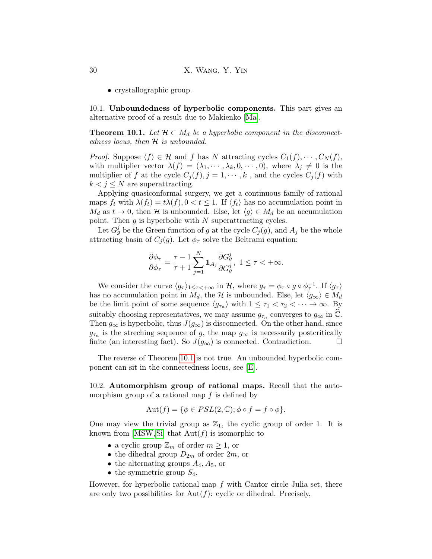• crystallographic group.

10.1. Unboundedness of hyperbolic components. This part gives an alternative proof of a result due to Makienko [\[Ma\]](#page-33-1).

<span id="page-29-1"></span>**Theorem 10.1.** Let  $\mathcal{H} \subset M_d$  be a hyperbolic component in the disconnectedness locus, then  $H$  is unbounded.

*Proof.* Suppose  $\langle f \rangle \in \mathcal{H}$  and f has N attracting cycles  $C_1(f), \cdots, C_N(f)$ , with multiplier vector  $\lambda(f) = (\lambda_1, \cdots, \lambda_k, 0, \cdots, 0)$ , where  $\lambda_j \neq 0$  is the multiplier of f at the cycle  $C_i(f), j = 1, \dots, k$ , and the cycles  $C_i(f)$  with  $k < j \leq N$  are superattracting.

Applying quasiconformal surgery, we get a continuous family of rational maps  $f_t$  with  $\lambda(f_t) = t\lambda(f), 0 < t \leq 1$ . If  $\langle f_t \rangle$  has no accumulation point in  $M_d$  as  $t \to 0$ , then H is unbounded. Else, let  $\langle g \rangle \in M_d$  be an accumulation point. Then  $g$  is hyperbolic with  $N$  superattracting cycles.

Let  $G_g^j$  be the Green function of g at the cycle  $C_j(g)$ , and  $A_j$  be the whole attracting basin of  $C_j(g)$ . Let  $\phi_\tau$  solve the Beltrami equation:

$$
\frac{\overline{\partial} \phi_\tau}{\partial \phi_\tau} = \frac{\tau - 1}{\tau + 1} \sum_{j = 1}^N \mathbf{1}_{A_j} \frac{\overline{\partial} G_g^j}{\partial G_g^j}, \ 1 \leq \tau < +\infty.
$$

We consider the curve  $\langle g_\tau \rangle_{1 \leq \tau \langle +\infty \rangle}$  in H, where  $g_\tau = \phi_\tau \circ g \circ \phi_\tau^{-1}$ . If  $\langle g_\tau \rangle$ has no accumulation point in  $M_d$ , the H is unbounded. Else, let  $\langle g_\infty \rangle \in M_d$ be the limit point of some sequence  $\langle g_{\tau_n} \rangle$  with  $1 \leq \tau_1 < \tau_2 < \cdots \to \infty$ . By suitably choosing representatives, we may assume  $g_{\tau_n}$  converges to  $g_{\infty}$  in  $\widehat{\mathbb{C}}$ . Then  $g_{\infty}$  is hyperbolic, thus  $J(g_{\infty})$  is disconnected. On the other hand, since  $g_{\tau_n}$  is the streching sequence of g, the map  $g_{\infty}$  is necessarily postcritically finite (an interesting fact). So  $J(g_{\infty})$  is connected. Contradiction.

The reverse of Theorem [10.1](#page-29-1) is not true. An unbounded hyperbolic component can sit in the connectedness locus, see [\[E\]](#page-33-22).

<span id="page-29-0"></span>10.2. Automorphism group of rational maps. Recall that the automorphism group of a rational map  $f$  is defined by

$$
Aut(f) = \{ \phi \in PSL(2, \mathbb{C}) ; \phi \circ f = f \circ \phi \}.
$$

One may view the trivial group as  $\mathbb{Z}_1$ , the cyclic group of order 1. It is known from [\[MSW,](#page-34-7) [Si\]](#page-34-8) that  $Aut(f)$  is isomorphic to

- a cyclic group  $\mathbb{Z}_m$  of order  $m \geq 1$ , or
- the dihedral group  $D_{2m}$  of order  $2m$ , or
- the alternating groups  $A_4, A_5$ , or
- the symmetric group  $S_4$ .

However, for hyperbolic rational map  $f$  with Cantor circle Julia set, there are only two possibilities for  $Aut(f)$ : cyclic or dihedral. Precisely,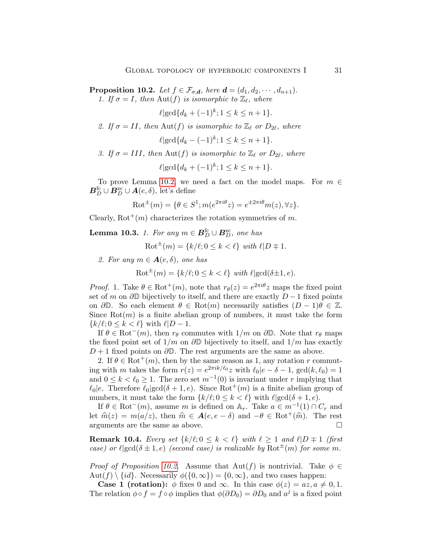<span id="page-30-0"></span>**Proposition 10.2.** Let  $f \in \mathcal{F}_{\sigma,d}$ , here  $\mathbf{d} = (d_1, d_2, \cdots, d_{n+1})$ . 1. If  $\sigma = I$ , then  $\text{Aut}(f)$  is isomorphic to  $\mathbb{Z}_{\ell}$ , where

 $\ell | \gcd\{d_k + (-1)^k; 1 \leq k \leq n+1\}.$ 

2. If  $\sigma = II$ , then Aut(f) is isomorphic to  $\mathbb{Z}_{\ell}$  or  $D_{2\ell}$ , where

$$
\ell | \gcd\{d_k - (-1)^k; 1 \le k \le n+1\}.
$$

3. If  $\sigma = III$ , then Aut(f) is isomorphic to  $\mathbb{Z}_{\ell}$  or  $D_{2\ell}$ , where

$$
\ell | \gcd\{d_k + (-1)^k; 1 \le k \le n+1\}.
$$

To prove Lemma [10.2,](#page-30-0) we need a fact on the model maps. For  $m \in$  $\boldsymbol{B}_{D}^{\mathrm{fc}} \cup \boldsymbol{B}_{D}^{\mathrm{zc}} \cup \boldsymbol{A}(e,\delta)$ , let's define

$$
\text{Rot}^{\pm}(m) = \{ \theta \in S^1; m(e^{2\pi i \theta} z) = e^{\pm 2\pi i \theta} m(z), \forall z \}.
$$

Clearly,  $Rot^{+}(m)$  characterizes the rotation symmetries of m.

<span id="page-30-1"></span>**Lemma 10.3.** 1. For any  $m \in B_D^{\text{fc}} \cup B_D^{\text{zc}}$ , one has

 $\text{Rot}^{\pm}(m) = \{k/\ell; 0 \leq k \leq \ell\}$  with  $\ell|D \mp 1$ .

2. For any  $m \in \mathbf{A}(e,\delta)$ , one has

 $\text{Rot}^{\pm}(m) = \{k/\ell; 0 \leq k < \ell\}$  with  $\ell | \text{gcd}(\delta \pm 1, e)$ .

*Proof.* 1. Take  $\theta \in \text{Rot}^+(m)$ , note that  $r_{\theta}(z) = e^{2\pi i \theta} z$  maps the fixed point set of m on  $\partial \mathbb{D}$  bijectively to itself, and there are exactly  $D-1$  fixed points on  $\partial \mathbb{D}$ . So each element  $\theta \in \text{Rot}(m)$  necessarily satisfies  $(D-1)\theta \in \mathbb{Z}$ . Since  $Rot(m)$  is a finite abelian group of numbers, it must take the form  ${k/\ell; 0 \leq k < \ell}$  with  $\ell|D - 1$ .

If  $\theta \in \text{Rot}^-(m)$ , then  $r_{\theta}$  commutes with  $1/m$  on  $\partial \mathbb{D}$ . Note that  $r_{\theta}$  maps the fixed point set of  $1/m$  on  $\partial\mathbb{D}$  bijectively to itself, and  $1/m$  has exactly  $D+1$  fixed points on  $\partial\mathbb{D}$ . The rest arguments are the same as above.

2. If  $\theta \in \text{Rot}^{+}(m)$ , then by the same reason as 1, any rotation r commuting with m takes the form  $r(z) = e^{2\pi i k/\ell_0} z$  with  $\ell_0|e - \delta - 1$ ,  $gcd(k, \ell_0) = 1$ and  $0 \leq k < \ell_0 \geq 1$ . The zero set  $m^{-1}(0)$  is invariant under r implying that  $\ell_0|e$ . Therefore  $\ell_0|gcd(\delta + 1, e)$ . Since Rot<sup>+</sup>(m) is a finite abelian group of numbers, it must take the form  $\{k/\ell; 0 \leq k < \ell\}$  with  $\ell | \gcd(\delta + 1, e)$ .

If  $\theta \in \text{Rot}^-(m)$ , assume m is defined on  $\mathbb{A}_r$ . Take  $a \in m^{-1}(1) \cap C_r$  and let  $\widehat{m}(z) = m(a/z)$ , then  $\widehat{m} \in \mathbf{A}(e, e - \delta)$  and  $-\theta \in \text{Rot}^+(\widehat{m})$ . The rest arguments are the same as above. arguments are the same as above.

**Remark 10.4.** Every set  $\{k/\ell; 0 \leq k < \ell\}$  with  $\ell \geq 1$  and  $\ell | D \neq 1$  (first case) or  $\ell | gcd(\delta \pm 1, e)$  (second case) is realizable by Rot<sup> $\pm(m)$ </sup> for some m.

*Proof of Proposition [10.2.](#page-30-0)* Assume that  $Aut(f)$  is nontrivial. Take  $\phi \in$  $Aut(f) \setminus \{id\}$ . Necessarily  $\phi(\{0,\infty\}) = \{0,\infty\}$ , and two cases happen:

**Case 1 (rotation):**  $\phi$  fixes 0 and  $\infty$ . In this case  $\phi(z) = az, a \neq 0, 1$ . The relation  $\phi \circ f = f \circ \phi$  implies that  $\phi(\partial D_0) = \partial D_0$  and  $a^j$  is a fixed point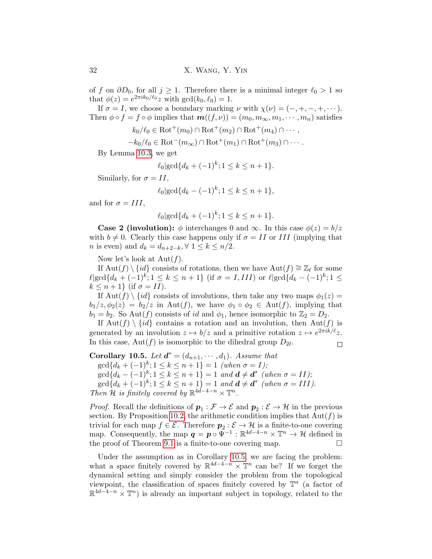of f on  $\partial D_0$ , for all  $j \geq 1$ . Therefore there is a minimal integer  $\ell_0 > 1$  so that  $\phi(z) = e^{2\pi i k_0/\ell_0} z$  with  $\gcd(k_0, \ell_0) = 1$ .

If  $\sigma = I$ , we choose a boundary marking  $\nu$  with  $\chi(\nu) = (-, +, -, +, \cdots)$ . Then  $\phi \circ f = f \circ \phi$  implies that  $\mathbf{m}((f,\nu)) = (m_0, m_\infty, m_1, \dots, m_n)$  satisfies

$$
k_0/\ell_0 \in \text{Rot}^+(m_0) \cap \text{Rot}^+(m_2) \cap \text{Rot}^+(m_4) \cap \cdots,
$$

$$
-k_0/\ell_0 \in \text{Rot}^-(m_\infty) \cap \text{Rot}^+(m_1) \cap \text{Rot}^+(m_3) \cap \cdots
$$

By Lemma [10.3,](#page-30-1) we get

$$
\ell_0 | \gcd\{d_k + (-1)^k; 1 \le k \le n+1\}.
$$

Similarly, for  $\sigma = II$ ,

$$
\ell_0 | \gcd\{d_k - (-1)^k; 1 \le k \le n+1\},\
$$

and for  $\sigma = III$ ,

$$
\ell_0 | \gcd\{d_k + (-1)^k; 1 \le k \le n+1\}.
$$

**Case 2 (involution):**  $\phi$  interchanges 0 and  $\infty$ . In this case  $\phi(z) = b/z$ with  $b \neq 0$ . Clearly this case happens only if  $\sigma = II$  or III (implying that *n* is even) and  $d_k = d_{n+2-k}$ ,  $\forall$  1  $\leq k \leq n/2$ .

Now let's look at  $Aut(f)$ .

If  $\text{Aut}(f) \setminus \{id\}$  consists of rotations, then we have  $\text{Aut}(f) \cong \mathbb{Z}_{\ell}$  for some  $\ell$ |gcd{ $d_k + (-1)^k$ ; 1 ≤  $k \le n + 1$ } (if  $\sigma = I, III$ ) or  $\ell$ |gcd{ $d_k - (-1)^k$ ; 1 ≤  $k \leq n+1$ } (if  $\sigma = II$ ).

If Aut(f)  $\{id\}$  consists of involutions, then take any two maps  $\phi_1(z)$  =  $b_1/z, \phi_2(z) = b_2/z$  in Aut(f), we have  $\phi_1 \circ \phi_2 \in$  Aut(f), implying that  $b_1 = b_2$ . So Aut(f) consists of id and  $\phi_1$ , hence isomorphic to  $\mathbb{Z}_2 = D_2$ .

If  $\text{Aut}(f) \setminus \{id\}$  contains a rotation and an involution, then  $\text{Aut}(f)$  is generated by an involution  $z \mapsto b/z$  and a primitive rotation  $z \mapsto e^{2\pi i k/\ell}z$ . In this case,  $Aut(f)$  is isomorphic to the dihedral group  $D_{2\ell}$ .  $\Box$ 

<span id="page-31-0"></span>Corollary 10.5. Let  $d^* = (d_{n+1}, \dots, d_1)$ . Assume that  $\gcd\{d_k + (-1)^k; 1 \leq k \leq n+1\} = 1$  (when  $\sigma = I$ );  $\gcd\{d_k-(-1)^k; 1 \leq k \leq n+1\} = 1$  and  $\boldsymbol{d} \neq \boldsymbol{d}^*$  (when  $\sigma = II$ );  $\gcd\{d_k+(-1)^k; 1\leq k\leq n+1\}=1$  and  $\boldsymbol{d}\neq \boldsymbol{d}^*$  (when  $\sigma=III$ ). Then H is finitely covered by  $\mathbb{R}^{4d-4-n} \times \mathbb{T}^n$ .

*Proof.* Recall the definitions of  $p_1 : \mathcal{F} \to \mathcal{E}$  and  $p_2 : \mathcal{E} \to \mathcal{H}$  in the previous section. By Proposition [10.2,](#page-30-0) the arithmetic condition implies that  $Aut(f)$  is trivial for each map  $f \in \mathcal{E}$ . Therefore  $p_2 : \mathcal{E} \to \mathcal{H}$  is a finite-to-one covering map. Consequently, the map  $q = p \circ \bar{\Psi}^{-1} : \mathbb{R}^{4d-4-n} \times \mathbb{T}^n \to \mathcal{H}$  defined in the proof of Theorem [9.1](#page-26-1) is a finite-to-one covering map.  $\Box$ 

Under the assumption as in Corollary [10.5,](#page-31-0) we are facing the problem: what a space finitely covered by  $\mathbb{R}^{4d-4-n} \times \mathbb{T}^n$  can be? If we forget the dynamical setting and simply consider the problem from the topological viewpoint, the classification of spaces finitely covered by  $\mathbb{T}^n$  (a factor of  $\mathbb{R}^{4d-4-n}\times\mathbb{T}^n$  is already an important subject in topology, related to the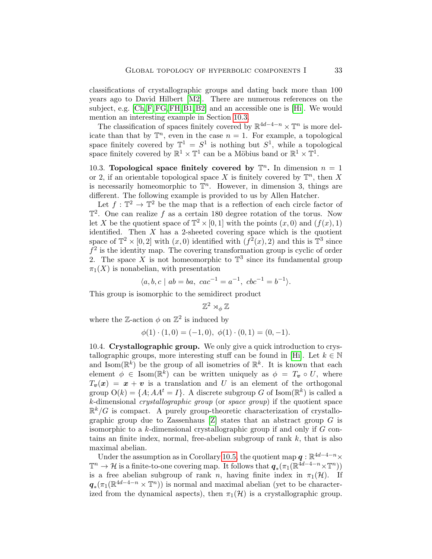classifications of crystallographic groups and dating back more than 100 years ago to David Hilbert [\[M2\]](#page-34-2). There are numerous references on the subject, e.g. [\[Ch,](#page-33-7)[F,](#page-33-8)[FG,](#page-33-9)[FH,](#page-33-10) [B1,](#page-33-12) [B2\]](#page-33-13) and an accessible one is [\[Hi\]](#page-33-11). We would mention an interesting example in Section [10.3.](#page-32-0)

The classification of spaces finitely covered by  $\mathbb{R}^{4d-4-n} \times \mathbb{T}^n$  is more delicate than that by  $\mathbb{T}^n$ , even in the case  $n = 1$ . For example, a topological space finitely covered by  $\mathbb{T}^1 = S^1$  is nothing but  $S^1$ , while a topological space finitely covered by  $\mathbb{R}^1 \times \mathbb{T}^1$  can be a Möbius band or  $\mathbb{R}^1 \times \mathbb{T}^1$ .

<span id="page-32-0"></span>10.3. Topological space finitely covered by  $\mathbb{T}^n$ . In dimension  $n = 1$ or 2, if an orientable topological space X is finitely covered by  $\mathbb{T}^n$ , then X is necessarily homeomorphic to  $\mathbb{T}^n$ . However, in dimension 3, things are different. The following example is provided to us by Allen Hatcher.

Let  $f: \mathbb{T}^2 \to \mathbb{T}^2$  be the map that is a reflection of each circle factor of  $\mathbb{T}^2$ . One can realize f as a certain 180 degree rotation of the torus. Now let X be the quotient space of  $\mathbb{T}^2 \times [0,1]$  with the points  $(x,0)$  and  $(f(x),1)$ identified. Then  $X$  has a 2-sheeted covering space which is the quotient space of  $\mathbb{T}^2 \times [0,2]$  with  $(x,0)$  identified with  $(f^2(x), 2)$  and this is  $\mathbb{T}^3$  since  $f<sup>2</sup>$  is the identity map. The covering transformation group is cyclic of order 2. The space X is not homeomorphic to  $\mathbb{T}^3$  since its fundamental group  $\pi_1(X)$  is nonabelian, with presentation

$$
\langle a, b, c \mid ab = ba, \ cac^{-1} = a^{-1}, \ cbc^{-1} = b^{-1} \rangle.
$$

This group is isomorphic to the semidirect product

$$
\mathbb{Z}^2\rtimes_\phi\mathbb{Z}
$$

where the Z-action  $\phi$  on  $\mathbb{Z}^2$  is induced by

$$
\phi(1) \cdot (1,0) = (-1,0), \ \phi(1) \cdot (0,1) = (0,-1).
$$

10.4. Crystallographic group. We only give a quick introduction to crys-tallographic groups, more interesting stuff can be found in [\[Hi\]](#page-33-11). Let  $k \in \mathbb{N}$ and  $\text{Isom}(\mathbb{R}^k)$  be the group of all isometries of  $\mathbb{R}^k$ . It is known that each element  $\phi \in \text{Isom}(\mathbb{R}^k)$  can be written uniquely as  $\phi = T_v \circ U$ , where  $T_{\nu}(\boldsymbol{x}) = \boldsymbol{x} + \boldsymbol{v}$  is a translation and U is an element of the orthogonal group  $O(k) = \{A; AA^t = I\}$ . A discrete subgroup G of Isom( $\mathbb{R}^k$ ) is called a k-dimensional crystallographic group (or space group) if the quotient space  $\mathbb{R}^k/G$  is compact. A purely group-theoretic characterization of crystallographic group due to Zassenhaus  $[Z]$  states that an abstract group G is isomorphic to a  $k$ -dimensional crystallographic group if and only if  $G$  contains an finite index, normal, free-abelian subgroup of rank  $k$ , that is also maximal abelian.

Under the assumption as in Corollary [10.5,](#page-31-0) the quotient map  $q : \mathbb{R}^{4d-4-n} \times$  $\mathbb{T}^n \to \mathcal{H}$  is a finite-to-one covering map. It follows that  $q_*(\pi_1(\mathbb{R}^{\tilde{4}d-4-n}\times \mathbb{T}^n))$ is a free abelian subgroup of rank n, having finite index in  $\pi_1(\mathcal{H})$ . If  $q_*(\pi_1(\mathbb{R}^{4d-4-n}\times \mathbb{T}^n))$  is normal and maximal abelian (yet to be characterized from the dynamical aspects), then  $\pi_1(\mathcal{H})$  is a crystallographic group.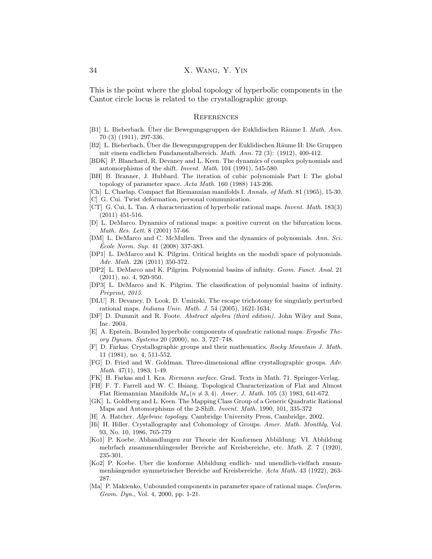This is the point where the global topology of hyperbolic components in the Cantor circle locus is related to the crystallographic group.

#### **REFERENCES**

- <span id="page-33-12"></span>[B1] L. Bieberbach. Über die Bewegungsgruppen der Euklidischen Räume I. Math. Ann. 70 (3) (1911), 297-336.
- <span id="page-33-13"></span>[B2] L. Bieberbach, Uber die Bewegungsgruppen der Euklidischen Räume II: Die Gruppen mit einem endlichen Fundamentalbereich. Math. Ann. 72 (3): (1912), 400-412.
- <span id="page-33-2"></span>[BDK] P. Blanchard, R. Devaney and L. Keen. The dynamics of complex polynomials and automorphisms of the shift. Invent. Math. 104 (1991), 545-580.
- [BH] B. Branner, J. Hubbard. The iteration of cubic polynomials Part I: The global topology of parameter space. Acta Math. 160 (1988) 143-206.
- <span id="page-33-7"></span>[Ch] L. Charlap. Compact flat Riemannian manifolds I. Annals. of Math. 81 (1965), 15-30.
- <span id="page-33-14"></span>[C] G. Cui. Twist deformation, personal communication.
- <span id="page-33-19"></span>[CT] G. Cui, L. Tan. A characterization of hyperbolic rational maps. Invent. Math. 183(3) (2011) 451-516.
- <span id="page-33-0"></span>[D] L. DeMarco. Dynamics of rational maps: a positive current on the bifurcation locus. Math. Res. Lett. 8 (2001) 57-66.
- <span id="page-33-3"></span>[DM] L. DeMarco and C. McMullen. Trees and the dynamics of polynomials. Ann. Sci. Ecole Norm. Sup. 41 (2008) 337-383.
- <span id="page-33-4"></span>[DP1] L. DeMarco and K. Pilgrim. Critical heights on the moduli space of polynomials. Adv. Math. 226 (2011) 350-372.
- <span id="page-33-5"></span>[DP2] L. DeMarco and K. Pilgrim. Polynomial basins of infinity. Geom. Funct. Anal. 21 (2011), no. 4, 920-950.
- <span id="page-33-6"></span>[DP3] L. DeMarco and K. Pilgrim. The classification of polynomial basins of infinity. Preprint, 2015.
- <span id="page-33-15"></span>[DLU] R. Devaney, D. Look, D. Uminski. The escape trichotomy for singularly perturbed rational maps. Indiana Univ. Math. J. 54 (2005), 1621-1634.
- <span id="page-33-21"></span>[DF] D. Dummit and R. Foote. Abstract algebra (third edition). John Wiley and Sons, Inc. 2004.
- <span id="page-33-22"></span>[E] A. Epstein. Bounded hyperbolic components of quadratic rational maps. Ergodic Theory Dynam. Systems 20 (2000), no. 3, 727–748.
- <span id="page-33-8"></span>[F] D. Farkas. Crystallographic groups and their mathematics. Rocky Mountain J. Math. 11 (1981), no. 4, 511-552.
- <span id="page-33-9"></span>[FG] D. Fried and W. Goldman. Three-dimensional affine crystallographic groups. Adv. Math. 47(1), 1983, 1-49.
- <span id="page-33-18"></span>[FK] H. Farkas and I. Kra. Riemann surface. Grad. Texts in Math. 71. Springer-Verlag.
- <span id="page-33-10"></span>[FH] F. T. Farrell and W. C. Hsiang. Topological Characterization of Flat and Almost Flat Riemannian Manifolds  $M_n(n \neq 3, 4)$ . Amer. J. Math. 105 (3) 1983, 641-672.
- [GK] L. Goldberg and L. Keen. The Mapping Class Group of a Generic Quadratic Rational Maps and Automorphisms of the 2-Shift. Invent. Math. 1990, 101, 335-372
- <span id="page-33-20"></span>[H] A. Hatcher. Algebraic topology. Cambridge University Press, Cambridge, 2002.
- <span id="page-33-11"></span>[Hi] H. Hiller. Crystallography and Cohomology of Groups. Amer. Math. Monthly, Vol. 93, No. 10, 1986, 765-779
- <span id="page-33-16"></span>[Ko1] P. Koebe. Abhandlungen zur Theorie der Konformen Abbildung: VI. Abbildung mehrfach zusammenhiingender Bereiche auf Kreisbereiche, etc. Math. Z. 7 (1920), 235-301.
- <span id="page-33-17"></span>[Ko2] P. Koebe. Uber die konforme Abbildung endlich- und unendlich-vielfach zusammenhängender symmetrischer Bereiche auf Kreisbereiche. Acta Math. 43 (1922), 263-287.
- <span id="page-33-1"></span>[Ma] P. Makienko, Unbounded components in parameter space of rational maps. *Conform*. Geom. Dyn., Vol. 4, 2000, pp. 1-21.